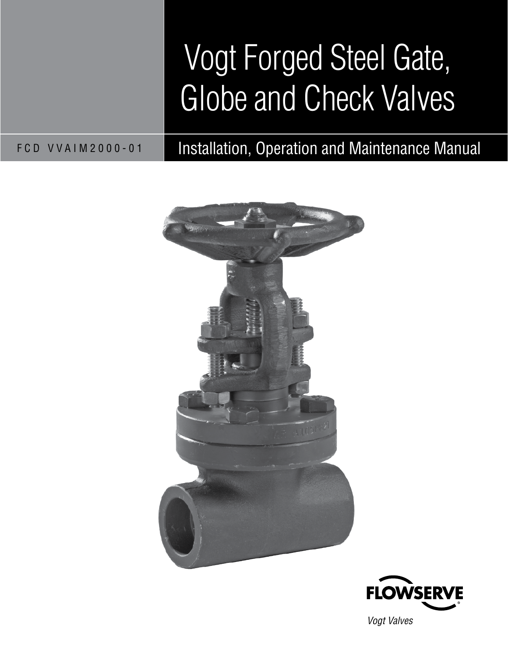# Vogt Forged Steel Gate, Globe and Check Valves

F C D V V A I M 2 0 0 0 - 0 1

## Installation, Operation and Maintenance Manual



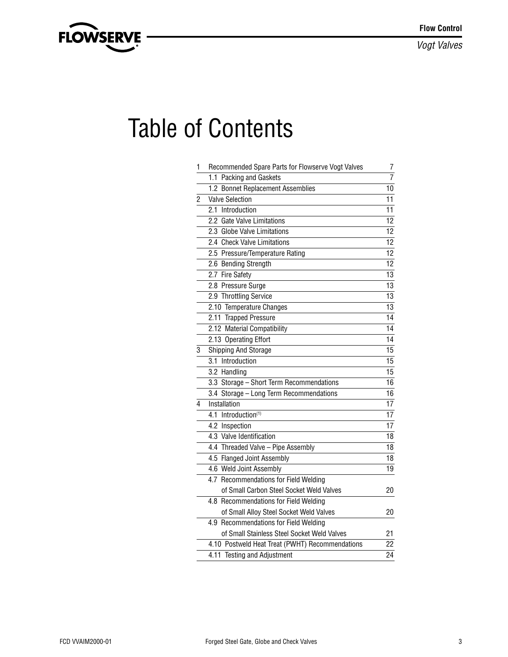

## Table of Contents

| 1 | Recommended Spare Parts for Flowserve Vogt Valves | 7              |
|---|---------------------------------------------------|----------------|
|   | 1.1 Packing and Gaskets                           | $\overline{7}$ |
|   | 1.2 Bonnet Replacement Assemblies                 | 10             |
| 2 | <b>Valve Selection</b>                            | 11             |
|   | 2.1 Introduction                                  | 11             |
|   | 2.2 Gate Valve Limitations                        | 12             |
|   | 2.3 Globe Valve Limitations                       | 12             |
|   | 2.4 Check Valve Limitations                       | 12             |
|   | 2.5 Pressure/Temperature Rating                   | 12             |
|   | 2.6 Bending Strength                              | 12             |
|   | 2.7 Fire Safety                                   | 13             |
|   | 2.8 Pressure Surge                                | 13             |
|   | 2.9 Throttling Service                            | 13             |
|   | 2.10 Temperature Changes                          | 13             |
|   | 2.11 Trapped Pressure                             | 14             |
|   | 2.12 Material Compatibility                       | 14             |
|   | 2.13 Operating Effort                             | 14             |
| 3 | Shipping And Storage                              | 15             |
|   | 3.1 Introduction                                  | 15             |
|   | 3.2 Handling                                      | 15             |
|   | 3.3 Storage - Short Term Recommendations          | 16             |
|   | 3.4 Storage - Long Term Recommendations           | 16             |
| 4 | Installation                                      | 17             |
|   | 4.1 Introduction(1)                               | 17             |
|   | 4.2 Inspection                                    | 17             |
|   | 4.3 Valve Identification                          | 18             |
|   | 4.4 Threaded Valve - Pipe Assembly                | 18             |
|   | 4.5 Flanged Joint Assembly                        | 18             |
|   | 4.6 Weld Joint Assembly                           | 19             |
|   | 4.7 Recommendations for Field Welding             |                |
|   | of Small Carbon Steel Socket Weld Valves          | 20             |
|   | 4.8 Recommendations for Field Welding             |                |
|   | of Small Alloy Steel Socket Weld Valves           | 20             |
|   | 4.9 Recommendations for Field Welding             |                |
|   | of Small Stainless Steel Socket Weld Valves       | 21             |
|   | 4.10 Postweld Heat Treat (PWHT) Recommendations   | 22             |
|   | 4.11 Testing and Adjustment                       | 24             |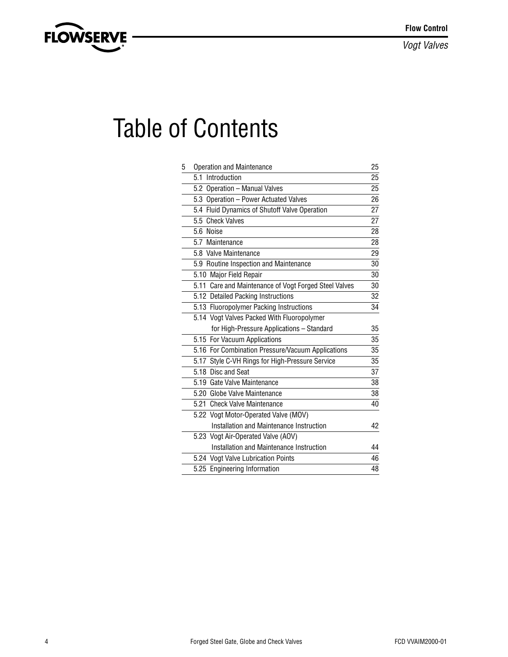

## Table of Contents

| 5 | <b>Operation and Maintenance</b>                      | 25 |
|---|-------------------------------------------------------|----|
|   | 5.1 Introduction                                      | 25 |
|   | 5.2 Operation - Manual Valves                         | 25 |
|   | 5.3 Operation - Power Actuated Valves                 | 26 |
|   | 5.4 Fluid Dynamics of Shutoff Valve Operation         | 27 |
|   | 5.5 Check Valves                                      | 27 |
|   | 5.6 Noise                                             | 28 |
|   | 5.7 Maintenance                                       | 28 |
|   | 5.8 Valve Maintenance                                 | 29 |
|   | 5.9 Routine Inspection and Maintenance                | 30 |
|   | 5.10 Major Field Repair                               | 30 |
|   | 5.11 Care and Maintenance of Vogt Forged Steel Valves | 30 |
|   | 5.12 Detailed Packing Instructions                    | 32 |
|   | 5.13 Fluoropolymer Packing Instructions               | 34 |
|   | 5.14 Vogt Valves Packed With Fluoropolymer            |    |
|   | for High-Pressure Applications - Standard             | 35 |
|   | 5.15 For Vacuum Applications                          | 35 |
|   | 5.16 For Combination Pressure/Vacuum Applications     | 35 |
|   | 5.17 Style C-VH Rings for High-Pressure Service       | 35 |
|   | 5.18 Disc and Seat                                    | 37 |
|   | 5.19 Gate Valve Maintenance                           | 38 |
|   | 5.20 Globe Valve Maintenance                          | 38 |
|   | 5.21 Check Valve Maintenance                          | 40 |
|   | 5.22 Vogt Motor-Operated Valve (MOV)                  |    |
|   | Installation and Maintenance Instruction              | 42 |
|   | 5.23 Vogt Air-Operated Valve (AOV)                    |    |
|   | Installation and Maintenance Instruction              | 44 |
|   | 5.24 Vogt Valve Lubrication Points                    | 46 |
|   | 5.25 Engineering Information                          | 48 |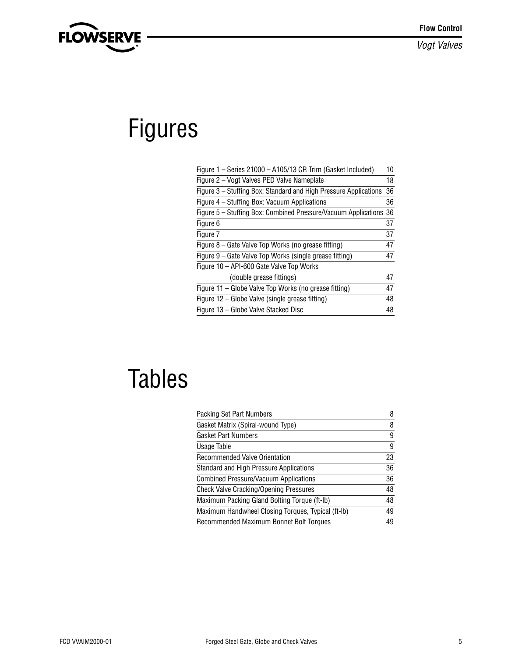



## Figures

| Figure 1 – Series 21000 – A105/13 CR Trim (Gasket Included)       | 10 |
|-------------------------------------------------------------------|----|
| Figure 2 - Vogt Valves PED Valve Nameplate                        | 18 |
| Figure 3 – Stuffing Box: Standard and High Pressure Applications  | 36 |
| Figure 4 – Stuffing Box: Vacuum Applications                      | 36 |
| Figure 5 – Stuffing Box: Combined Pressure/Vacuum Applications 36 |    |
| Figure 6                                                          | 37 |
| Figure 7                                                          | 37 |
| Figure 8 – Gate Valve Top Works (no grease fitting)               | 47 |
| Figure 9 – Gate Valve Top Works (single grease fitting)           | 47 |
| Figure 10 - API-600 Gate Valve Top Works                          |    |
| (double grease fittings)                                          | 47 |
| Figure 11 - Globe Valve Top Works (no grease fitting)             | 47 |
| Figure 12 – Globe Valve (single grease fitting)                   | 48 |
| Figure 13 – Globe Valve Stacked Disc                              | 48 |

## **Tables**

| Packing Set Part Numbers                           | 8  |
|----------------------------------------------------|----|
| Gasket Matrix (Spiral-wound Type)                  | 8  |
| <b>Gasket Part Numbers</b>                         | 9  |
| Usage Table                                        | 9  |
| Recommended Valve Orientation                      | 23 |
| Standard and High Pressure Applications            | 36 |
| <b>Combined Pressure/Vacuum Applications</b>       | 36 |
| <b>Check Valve Cracking/Opening Pressures</b>      | 48 |
| Maximum Packing Gland Bolting Torque (ft-Ib)       | 48 |
| Maximum Handwheel Closing Torques, Typical (ft-Ib) | 49 |
| Recommended Maximum Bonnet Bolt Torques            | 49 |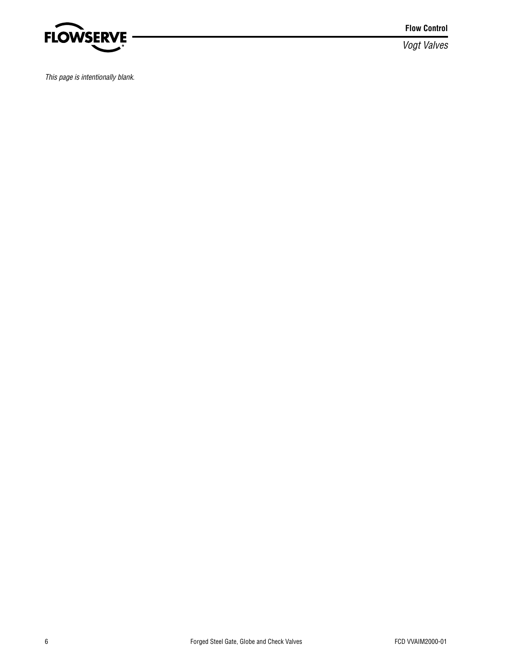

**Flow Control**

*Vogt Valves*

*This page is intentionally blank.*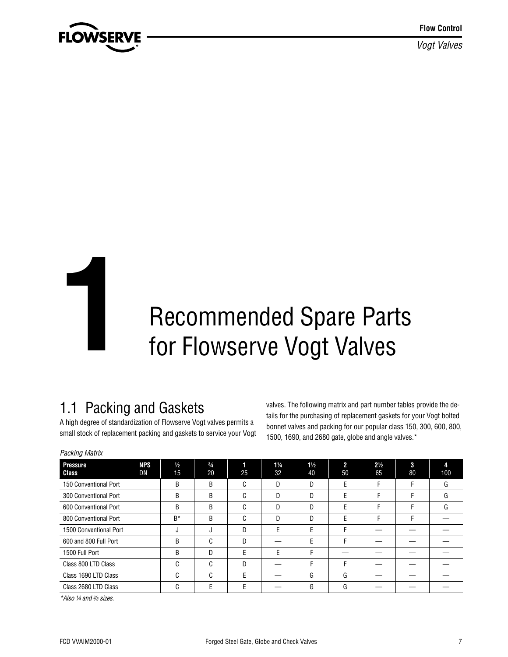

# **1** Recommended Spare Parts for Flowserve Vogt Valves

## 1.1 Packing and Gaskets

A high degree of standardization of Flowserve Vogt valves permits a small stock of replacement packing and gaskets to service your Vogt valves. The following matrix and part number tables provide the details for the purchasing of replacement gaskets for your Vogt bolted bonnet valves and packing for our popular class 150, 300, 600, 800, 1500, 1690, and 2680 gate, globe and angle valves.\*

| <b>NPS</b><br><b>Pressure</b><br>Class<br>DN | $\frac{1}{2}$<br>15. | $\frac{3}{4}$<br>20 | П<br>25 | $1\frac{1}{4}$<br>32 | $1\frac{1}{2}$<br>40 | 2<br>50 | $2\frac{1}{2}$<br>65 | 3<br>80 | 100 |
|----------------------------------------------|----------------------|---------------------|---------|----------------------|----------------------|---------|----------------------|---------|-----|
| 150 Conventional Port                        | B                    | B                   | C       | D                    | D                    | E       |                      | F       | G   |
| 300 Conventional Port                        | B                    | B                   | C       | D                    | D                    | F       |                      | F       | G   |
| 600 Conventional Port                        | R                    | B                   | C       | D                    | D                    | F       | Е                    | F       | G   |
| 800 Conventional Port                        | $B^*$                | B                   | C       | D                    | D                    | F       | Е                    | F       |     |
| 1500 Conventional Port                       |                      |                     | D       | Е                    | F                    |         |                      |         |     |
| 600 and 800 Full Port                        | B                    | C                   | D       |                      |                      |         |                      |         |     |
| 1500 Full Port                               | R                    | D                   | E       | Е                    |                      |         |                      |         |     |
| Class 800 LTD Class                          | C                    | C                   | D       |                      |                      | c       |                      |         |     |
| Class 1690 LTD Class                         | C                    | C                   | F       |                      | G                    | G       |                      |         |     |
| Class 2680 LTD Class                         | ◠<br>U               |                     | F       |                      | G                    | G       |                      |         |     |

*\*Also 1/4 and 3 /8 sizes.*

*Packing Matrix*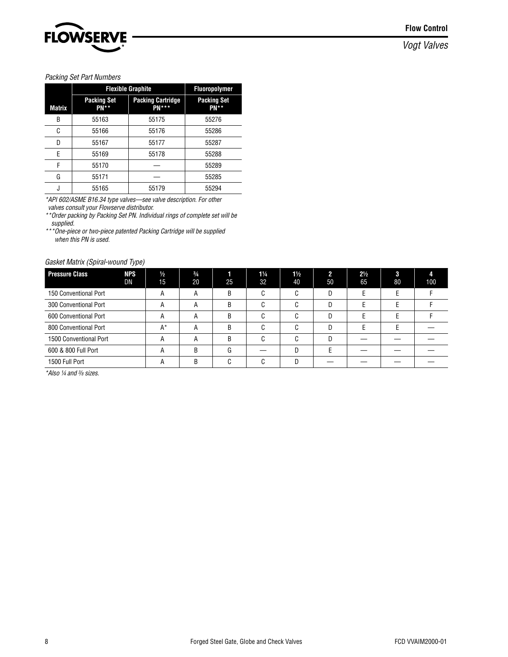

#### *Packing Set Part Numbers*

|               | <b>Flexible Graphite</b>   | <b>Fluoropolymer</b>                     |                            |
|---------------|----------------------------|------------------------------------------|----------------------------|
| <b>Matrix</b> | <b>Packing Set</b><br>PN** | <b>Packing Cartridge</b><br><b>PN***</b> | <b>Packing Set</b><br>PN** |
| R             | 55163                      | 55175                                    | 55276                      |
| C             | 55166                      | 55176                                    | 55286                      |
| D             | 55167                      | 55177                                    | 55287                      |
| E             | 55169                      | 55178                                    | 55288                      |
| F             | 55170                      |                                          | 55289                      |
| G             | 55171                      |                                          | 55285                      |
| J             | 55165                      | 55179                                    | 55294                      |

*\*API 602/ASME B16.34 type valves—see valve description. For other valves consult your Flowserve distributor.*

*\*\*Order packing by Packing Set PN. Individual rings of complete set will be supplied.*

*\*\*\*One-piece or two-piece patented Packing Cartridge will be supplied when this PN is used.*

#### *Gasket Matrix (Spiral-wound Type)*

| <b>NPS</b><br><b>Pressure Class</b><br>DN | $\frac{1}{2}$<br>15 | $\frac{3}{4}$<br>20 | 1<br>25 | $1\frac{1}{4}$<br>32 | $1\frac{1}{2}$<br>40 | 2<br>50 | $2\frac{1}{2}$<br>65 | 3<br>80 | 100 |
|-------------------------------------------|---------------------|---------------------|---------|----------------------|----------------------|---------|----------------------|---------|-----|
| 150 Conventional Port                     | A                   | А                   | B       | C                    |                      |         |                      |         |     |
| 300 Conventional Port                     | A                   | А                   | B       | $\sim$<br>U          |                      |         |                      |         |     |
| 600 Conventional Port                     | A                   | А                   | B       | C                    |                      |         |                      |         |     |
| 800 Conventional Port                     | $A^*$               | А                   | B       | C                    |                      |         |                      |         |     |
| 1500 Conventional Port                    | A                   | А                   | B       | $\sim$<br>ι,         |                      |         |                      |         |     |
| 600 & 800 Full Port                       | А                   | R                   | G       |                      |                      |         |                      |         |     |
| 1500 Full Port                            | A                   | R                   | C       | C                    |                      |         |                      |         |     |

*\*Also 1/4 and 3 /8 sizes.*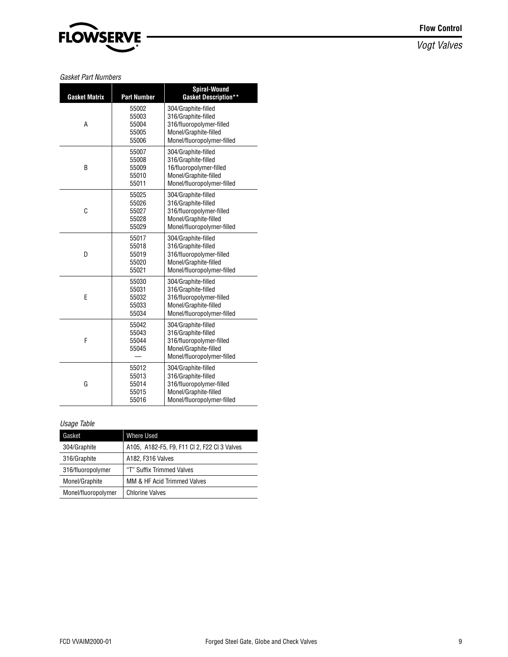

#### *Gasket Part Numbers*

| <b>Gasket Matrix</b> | <b>Part Number</b>                        | <b>Spiral-Wound</b><br><b>Gasket Description**</b>                                                                            |  |  |
|----------------------|-------------------------------------------|-------------------------------------------------------------------------------------------------------------------------------|--|--|
| Α                    | 55002<br>55003<br>55004<br>55005<br>55006 | 304/Graphite-filled<br>316/Graphite-filled<br>316/fluoropolymer-filled<br>Monel/Graphite-filled<br>Monel/fluoropolymer-filled |  |  |
| B                    | 55007<br>55008<br>55009<br>55010<br>55011 | 304/Graphite-filled<br>316/Graphite-filled<br>16/fluoropolymer-filled<br>Monel/Graphite-filled<br>Monel/fluoropolymer-filled  |  |  |
| C                    | 55025<br>55026<br>55027<br>55028<br>55029 | 304/Graphite-filled<br>316/Graphite-filled<br>316/fluoropolymer-filled<br>Monel/Graphite-filled<br>Monel/fluoropolymer-filled |  |  |
| D                    | 55017<br>55018<br>55019<br>55020<br>55021 | 304/Graphite-filled<br>316/Graphite-filled<br>316/fluoropolymer-filled<br>Monel/Graphite-filled<br>Monel/fluoropolymer-filled |  |  |
| E                    | 55030<br>55031<br>55032<br>55033<br>55034 | 304/Graphite-filled<br>316/Graphite-filled<br>316/fluoropolymer-filled<br>Monel/Graphite-filled<br>Monel/fluoropolymer-filled |  |  |
| F                    | 55042<br>55043<br>55044<br>55045          | 304/Graphite-filled<br>316/Graphite-filled<br>316/fluoropolymer-filled<br>Monel/Graphite-filled<br>Monel/fluoropolymer-filled |  |  |
| G                    | 55012<br>55013<br>55014<br>55015<br>55016 | 304/Graphite-filled<br>316/Graphite-filled<br>316/fluoropolymer-filled<br>Monel/Graphite-filled<br>Monel/fluoropolymer-filled |  |  |

#### *Usage Table*

| Gasket              | <b>Where Used</b>                            |
|---------------------|----------------------------------------------|
| 304/Graphite        | A105, A182-F5, F9, F11 Cl 2, F22 Cl 3 Valves |
| 316/Graphite        | A182, F316 Valves                            |
| 316/fluoropolymer   | "T" Suffix Trimmed Valves                    |
| Monel/Graphite      | MM & HF Acid Trimmed Valves                  |
| Monel/fluoropolymer | <b>Chlorine Valves</b>                       |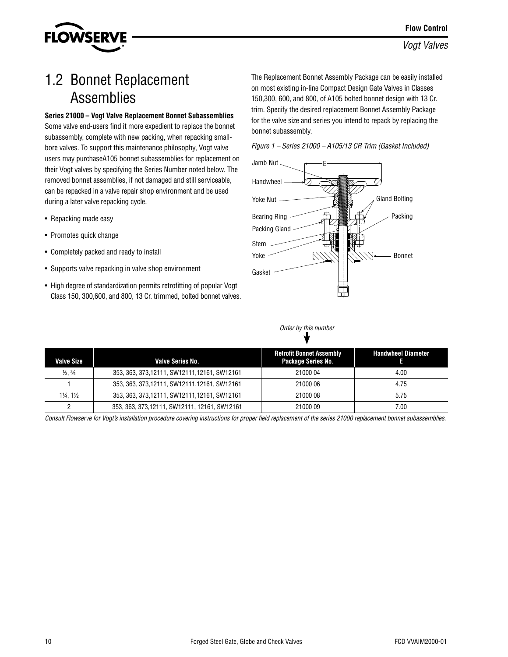

## 1.2 Bonnet Replacement Assemblies

**Series 21000 – Vogt Valve Replacement Bonnet Subassemblies**

Some valve end-users find it more expedient to replace the bonnet subassembly, complete with new packing, when repacking smallbore valves. To support this maintenance philosophy, Vogt valve users may purchaseA105 bonnet subassemblies for replacement on their Vogt valves by specifying the Series Number noted below. The removed bonnet assemblies, if not damaged and still serviceable, can be repacked in a valve repair shop environment and be used during a later valve repacking cycle.

- Repacking made easy
- Promotes quick change
- Completely packed and ready to install
- Supports valve repacking in valve shop environment
- High degree of standardization permits retrofitting of popular Vogt Class 150, 300,600, and 800, 13 Cr. trimmed, bolted bonnet valves.

The Replacement Bonnet Assembly Package can be easily installed on most existing in-line Compact Design Gate Valves in Classes 150,300, 600, and 800, of A105 bolted bonnet design with 13 Cr. trim. Specify the desired replacement Bonnet Assembly Package for the valve size and series you intend to repack by replacing the bonnet subassembly.





*Order by this number*

| <b>Valve Size</b>             | <b>Valve Series No.</b>                       | <b>Retrofit Bonnet Assembly</b><br><b>Package Series No.</b> | <b>Handwheel Diameter</b> |
|-------------------------------|-----------------------------------------------|--------------------------------------------------------------|---------------------------|
| $\frac{1}{2}$ , $\frac{3}{4}$ | 353, 363, 373, 12111, SW12111, 12161, SW12161 | 21000.04                                                     | 4.00                      |
|                               | 353, 363, 373, 12111, SW12111, 12161, SW12161 | 21000 06                                                     | 4.75                      |
| 1¼. 1½                        | 353, 363, 373, 12111, SW12111, 12161, SW12161 | 21000 08                                                     | 5.75                      |
|                               | 353, 363, 373, 12111, SW12111, 12161, SW12161 | 21000 09                                                     | 7.00                      |

*Consult Flowserve for Vogt's installation procedure covering instructions for proper field replacement of the series 21000 replacement bonnet subassemblies.*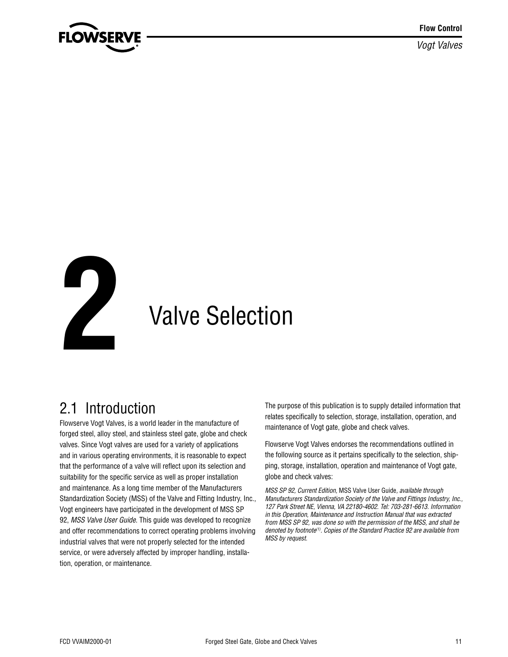



## 2.1 Introduction

Flowserve Vogt Valves, is a world leader in the manufacture of forged steel, alloy steel, and stainless steel gate, globe and check valves. Since Vogt valves are used for a variety of applications and in various operating environments, it is reasonable to expect that the performance of a valve will reflect upon its selection and suitability for the specific service as well as proper installation and maintenance. As a long time member of the Manufacturers Standardization Society (MSS) of the Valve and Fitting Industry, Inc., Vogt engineers have participated in the development of MSS SP 92, *MSS Valve User Guide*. This guide was developed to recognize and offer recommendations to correct operating problems involving industrial valves that were not properly selected for the intended service, or were adversely affected by improper handling, installation, operation, or maintenance.

The purpose of this publication is to supply detailed information that relates specifically to selection, storage, installation, operation, and maintenance of Vogt gate, globe and check valves.

Flowserve Vogt Valves endorses the recommendations outlined in the following source as it pertains specifically to the selection, shipping, storage, installation, operation and maintenance of Vogt gate, globe and check valves:

*MSS SP 92, Current Edition,* MSS Valve User Guide*, available through Manufacturers Standardization Society of the Valve and Fittings Industry, Inc., 127 Park Street NE, Vienna, VA 22180-4602. Tel: 703-281-6613. Information in this Operation, Maintenance and Instruction Manual that was extracted from MSS SP 92, was done so with the permission of the MSS, and shall be denoted by footnote(1). Copies of the Standard Practice 92 are available from MSS by request.*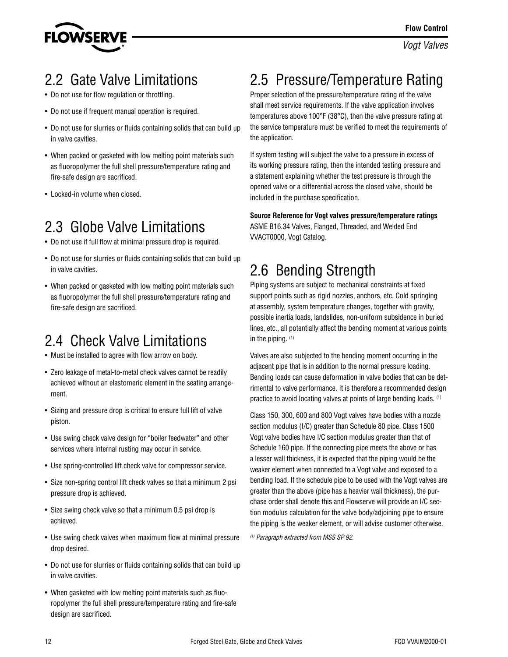



## 2.2 Gate Valve Limitations

- Do not use for flow regulation or throttling.
- Do not use if frequent manual operation is required.
- Do not use for slurries or fluids containing solids that can build up in valve cavities.
- When packed or gasketed with low melting point materials such as fluoropolymer the full shell pressure/temperature rating and fire-safe design are sacrificed.
- Locked-in volume when closed.

## 2.3 Globe Valve Limitations

- Do not use if full flow at minimal pressure drop is required.
- Do not use for slurries or fluids containing solids that can build up in valve cavities.
- When packed or gasketed with low melting point materials such as fluoropolymer the full shell pressure/temperature rating and fire-safe design are sacrificed.

## 2.4 Check Valve Limitations

- Must be installed to agree with flow arrow on body.
- Zero leakage of metal-to-metal check valves cannot be readily achieved without an elastomeric element in the seating arrangement.
- Sizing and pressure drop is critical to ensure full lift of valve piston.
- Use swing check valve design for "boiler feedwater" and other services where internal rusting may occur in service.
- Use spring-controlled lift check valve for compressor service.
- Size non-spring control lift check valves so that a minimum 2 psi pressure drop is achieved.
- Size swing check valve so that a minimum 0.5 psi drop is achieved.
- Use swing check valves when maximum flow at minimal pressure drop desired.
- Do not use for slurries or fluids containing solids that can build up in valve cavities.
- When gasketed with low melting point materials such as fluoropolymer the full shell pressure/temperature rating and fire-safe design are sacrificed.

## 2.5 Pressure/Temperature Rating

Proper selection of the pressure/temperature rating of the valve shall meet service requirements. If the valve application involves temperatures above 100°F (38°C), then the valve pressure rating at the service temperature must be verified to meet the requirements of the application.

If system testing will subject the valve to a pressure in excess of its working pressure rating, then the intended testing pressure and a statement explaining whether the test pressure is through the opened valve or a differential across the closed valve, should be included in the purchase specification.

#### **Source Reference for Vogt valves pressure/temperature ratings** ASME B16.34 Valves, Flanged, Threaded, and Welded End VVACT0000, Vogt Catalog.

## 2.6 Bending Strength

Piping systems are subject to mechanical constraints at fixed support points such as rigid nozzles, anchors, etc. Cold springing at assembly, system temperature changes, together with gravity, possible inertia loads, landslides, non-uniform subsidence in buried lines, etc., all potentially affect the bending moment at various points in the piping. (1)

Valves are also subjected to the bending moment occurring in the adjacent pipe that is in addition to the normal pressure loading. Bending loads can cause deformation in valve bodies that can be detrimental to valve performance. It is therefore a recommended design practice to avoid locating valves at points of large bending loads. (1)

Class 150, 300, 600 and 800 Vogt valves have bodies with a nozzle section modulus (I/C) greater than Schedule 80 pipe. Class 1500 Vogt valve bodies have I/C section modulus greater than that of Schedule 160 pipe. If the connecting pipe meets the above or has a lesser wall thickness, it is expected that the piping would be the weaker element when connected to a Vogt valve and exposed to a bending load. If the schedule pipe to be used with the Vogt valves are greater than the above (pipe has a heavier wall thickness), the purchase order shall denote this and Flowserve will provide an I/C section modulus calculation for the valve body/adjoining pipe to ensure the piping is the weaker element, or will advise customer otherwise.

*(1) Paragraph extracted from MSS SP 92.*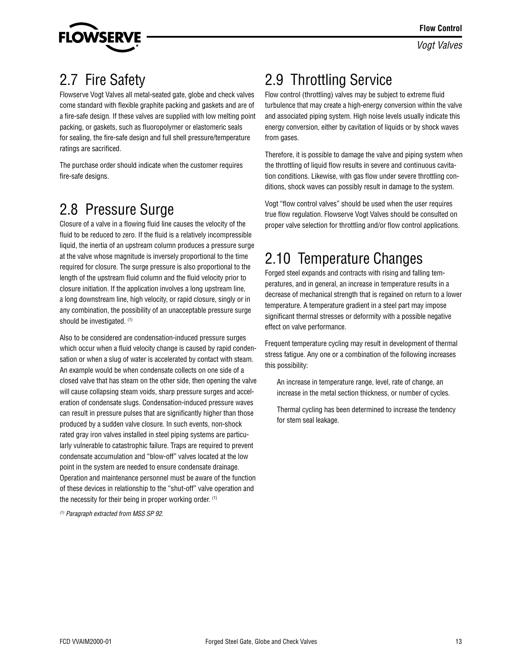

## 2.7 Fire Safety

Flowserve Vogt Valves all metal-seated gate, globe and check valves come standard with flexible graphite packing and gaskets and are of a fire-safe design. If these valves are supplied with low melting point packing, or gaskets, such as fluoropolymer or elastomeric seals for sealing, the fire-safe design and full shell pressure/temperature ratings are sacrificed.

The purchase order should indicate when the customer requires fire-safe designs.

## 2.8 Pressure Surge

Closure of a valve in a flowing fluid line causes the velocity of the fluid to be reduced to zero. If the fluid is a relatively incompressible liquid, the inertia of an upstream column produces a pressure surge at the valve whose magnitude is inversely proportional to the time required for closure. The surge pressure is also proportional to the length of the upstream fluid column and the fluid velocity prior to closure initiation. If the application involves a long upstream line, a long downstream line, high velocity, or rapid closure, singly or in any combination, the possibility of an unacceptable pressure surge should be investigated. (1)

Also to be considered are condensation-induced pressure surges which occur when a fluid velocity change is caused by rapid condensation or when a slug of water is accelerated by contact with steam. An example would be when condensate collects on one side of a closed valve that has steam on the other side, then opening the valve will cause collapsing steam voids, sharp pressure surges and acceleration of condensate slugs. Condensation-induced pressure waves can result in pressure pulses that are significantly higher than those produced by a sudden valve closure. In such events, non-shock rated gray iron valves installed in steel piping systems are particularly vulnerable to catastrophic failure. Traps are required to prevent condensate accumulation and "blow-off" valves located at the low point in the system are needed to ensure condensate drainage. Operation and maintenance personnel must be aware of the function of these devices in relationship to the "shut-off" valve operation and the necessity for their being in proper working order. (1)

*(1) Paragraph extracted from MSS SP 92.*

## 2.9 Throttling Service

Flow control (throttling) valves may be subject to extreme fluid turbulence that may create a high-energy conversion within the valve and associated piping system. High noise levels usually indicate this energy conversion, either by cavitation of liquids or by shock waves from gases.

Therefore, it is possible to damage the valve and piping system when the throttling of liquid flow results in severe and continuous cavitation conditions. Likewise, with gas flow under severe throttling conditions, shock waves can possibly result in damage to the system.

Vogt "flow control valves" should be used when the user requires true flow regulation. Flowserve Vogt Valves should be consulted on proper valve selection for throttling and/or flow control applications.

## 2.10 Temperature Changes

Forged steel expands and contracts with rising and falling temperatures, and in general, an increase in temperature results in a decrease of mechanical strength that is regained on return to a lower temperature. A temperature gradient in a steel part may impose significant thermal stresses or deformity with a possible negative effect on valve performance.

Frequent temperature cycling may result in development of thermal stress fatigue. Any one or a combination of the following increases this possibility:

An increase in temperature range, level, rate of change, an increase in the metal section thickness, or number of cycles.

Thermal cycling has been determined to increase the tendency for stem seal leakage.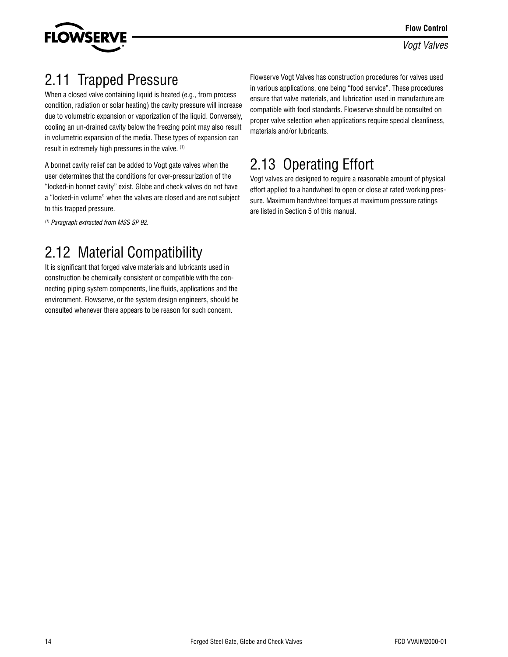

## 2.11 Trapped Pressure

When a closed valve containing liquid is heated (e.g., from process condition, radiation or solar heating) the cavity pressure will increase due to volumetric expansion or vaporization of the liquid. Conversely, cooling an un-drained cavity below the freezing point may also result in volumetric expansion of the media. These types of expansion can result in extremely high pressures in the valve. (1)

A bonnet cavity relief can be added to Vogt gate valves when the user determines that the conditions for over-pressurization of the "locked-in bonnet cavity" exist. Globe and check valves do not have a "locked-in volume" when the valves are closed and are not subject to this trapped pressure.

*(1) Paragraph extracted from MSS SP 92.*

## 2.12 Material Compatibility

It is significant that forged valve materials and lubricants used in construction be chemically consistent or compatible with the connecting piping system components, line fluids, applications and the environment. Flowserve, or the system design engineers, should be consulted whenever there appears to be reason for such concern.

Flowserve Vogt Valves has construction procedures for valves used in various applications, one being "food service". These procedures ensure that valve materials, and lubrication used in manufacture are compatible with food standards. Flowserve should be consulted on proper valve selection when applications require special cleanliness, materials and/or lubricants.

## 2.13 Operating Effort

Vogt valves are designed to require a reasonable amount of physical effort applied to a handwheel to open or close at rated working pressure. Maximum handwheel torques at maximum pressure ratings are listed in Section 5 of this manual.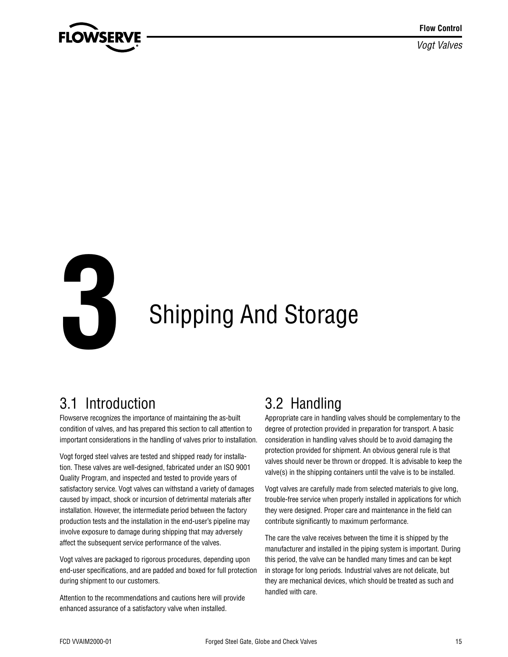

# **3** Shipping And Storage

## 3.1 Introduction

Flowserve recognizes the importance of maintaining the as-built condition of valves, and has prepared this section to call attention to important considerations in the handling of valves prior to installation.

Vogt forged steel valves are tested and shipped ready for installation. These valves are well-designed, fabricated under an ISO 9001 Quality Program, and inspected and tested to provide years of satisfactory service. Vogt valves can withstand a variety of damages caused by impact, shock or incursion of detrimental materials after installation. However, the intermediate period between the factory production tests and the installation in the end-user's pipeline may involve exposure to damage during shipping that may adversely affect the subsequent service performance of the valves.

Vogt valves are packaged to rigorous procedures, depending upon end-user specifications, and are padded and boxed for full protection during shipment to our customers.

Attention to the recommendations and cautions here will provide enhanced assurance of a satisfactory valve when installed.

## 3.2 Handling

Appropriate care in handling valves should be complementary to the degree of protection provided in preparation for transport. A basic consideration in handling valves should be to avoid damaging the protection provided for shipment. An obvious general rule is that valves should never be thrown or dropped. It is advisable to keep the valve(s) in the shipping containers until the valve is to be installed.

Vogt valves are carefully made from selected materials to give long, trouble-free service when properly installed in applications for which they were designed. Proper care and maintenance in the field can contribute significantly to maximum performance.

The care the valve receives between the time it is shipped by the manufacturer and installed in the piping system is important. During this period, the valve can be handled many times and can be kept in storage for long periods. Industrial valves are not delicate, but they are mechanical devices, which should be treated as such and handled with care.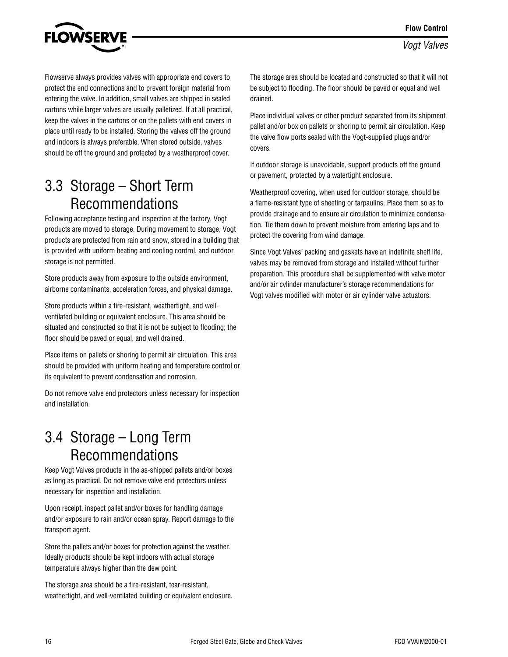

Flowserve always provides valves with appropriate end covers to protect the end connections and to prevent foreign material from entering the valve. In addition, small valves are shipped in sealed cartons while larger valves are usually palletized. If at all practical, keep the valves in the cartons or on the pallets with end covers in place until ready to be installed. Storing the valves off the ground and indoors is always preferable. When stored outside, valves should be off the ground and protected by a weatherproof cover.

## 3.3 Storage – Short Term Recommendations

Following acceptance testing and inspection at the factory, Vogt products are moved to storage. During movement to storage, Vogt products are protected from rain and snow, stored in a building that is provided with uniform heating and cooling control, and outdoor storage is not permitted.

Store products away from exposure to the outside environment, airborne contaminants, acceleration forces, and physical damage.

Store products within a fire-resistant, weathertight, and wellventilated building or equivalent enclosure. This area should be situated and constructed so that it is not be subject to flooding; the floor should be paved or equal, and well drained.

Place items on pallets or shoring to permit air circulation. This area should be provided with uniform heating and temperature control or its equivalent to prevent condensation and corrosion.

Do not remove valve end protectors unless necessary for inspection and installation.

## 3.4 Storage – Long Term Recommendations

Keep Vogt Valves products in the as-shipped pallets and/or boxes as long as practical. Do not remove valve end protectors unless necessary for inspection and installation.

Upon receipt, inspect pallet and/or boxes for handling damage and/or exposure to rain and/or ocean spray. Report damage to the transport agent.

Store the pallets and/or boxes for protection against the weather. Ideally products should be kept indoors with actual storage temperature always higher than the dew point.

The storage area should be a fire-resistant, tear-resistant, weathertight, and well-ventilated building or equivalent enclosure. The storage area should be located and constructed so that it will not be subject to flooding. The floor should be paved or equal and well drained.

Place individual valves or other product separated from its shipment pallet and/or box on pallets or shoring to permit air circulation. Keep the valve flow ports sealed with the Vogt-supplied plugs and/or covers.

If outdoor storage is unavoidable, support products off the ground or pavement, protected by a watertight enclosure.

Weatherproof covering, when used for outdoor storage, should be a flame-resistant type of sheeting or tarpaulins. Place them so as to provide drainage and to ensure air circulation to minimize condensation. Tie them down to prevent moisture from entering laps and to protect the covering from wind damage.

Since Vogt Valves' packing and gaskets have an indefinite shelf life, valves may be removed from storage and installed without further preparation. This procedure shall be supplemented with valve motor and/or air cylinder manufacturer's storage recommendations for Vogt valves modified with motor or air cylinder valve actuators.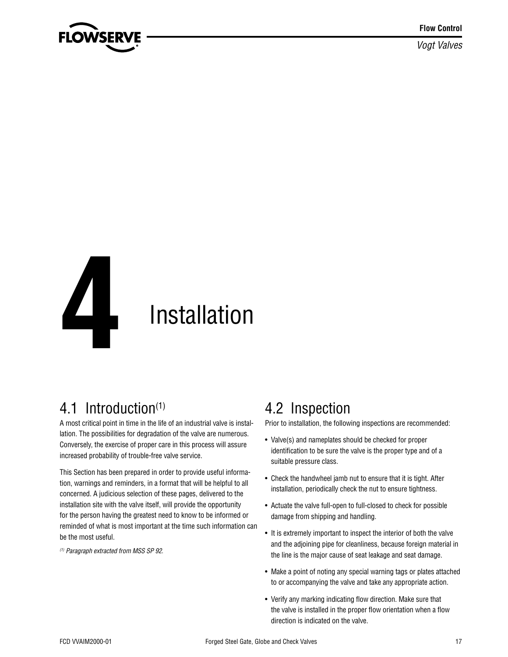

# **4** Installation

## 4.1 Introduction<sup>(1)</sup>

A most critical point in time in the life of an industrial valve is installation. The possibilities for degradation of the valve are numerous. Conversely, the exercise of proper care in this process will assure increased probability of trouble-free valve service.

This Section has been prepared in order to provide useful information, warnings and reminders, in a format that will be helpful to all concerned. A judicious selection of these pages, delivered to the installation site with the valve itself, will provide the opportunity for the person having the greatest need to know to be informed or reminded of what is most important at the time such information can be the most useful.

*(1) Paragraph extracted from MSS SP 92.*

## 4.2 Inspection

Prior to installation, the following inspections are recommended:

- Valve(s) and nameplates should be checked for proper identification to be sure the valve is the proper type and of a suitable pressure class.
- Check the handwheel jamb nut to ensure that it is tight. After installation, periodically check the nut to ensure tightness.
- Actuate the valve full-open to full-closed to check for possible damage from shipping and handling.
- It is extremely important to inspect the interior of both the valve and the adjoining pipe for cleanliness, because foreign material in the line is the major cause of seat leakage and seat damage.
- Make a point of noting any special warning tags or plates attached to or accompanying the valve and take any appropriate action.
- Verify any marking indicating flow direction. Make sure that the valve is installed in the proper flow orientation when a flow direction is indicated on the valve.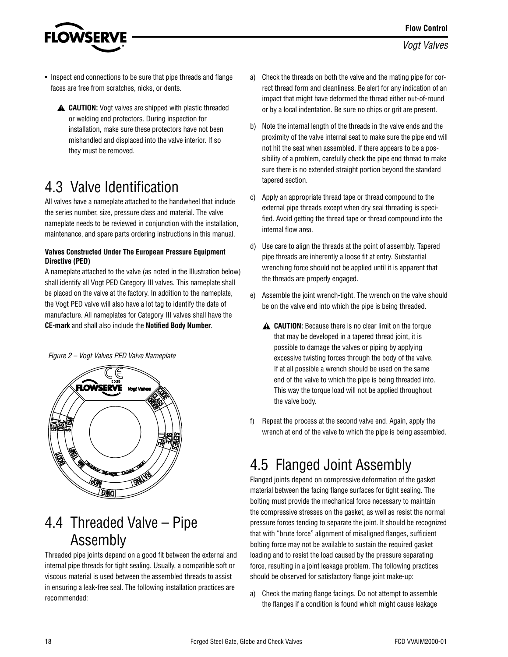

- Inspect end connections to be sure that pipe threads and flange faces are free from scratches, nicks, or dents.
	- **A CAUTION:** Vogt valves are shipped with plastic threaded or welding end protectors. During inspection for installation, make sure these protectors have not been mishandled and displaced into the valve interior. If so they must be removed.

## 4.3 Valve Identification

All valves have a nameplate attached to the handwheel that include the series number, size, pressure class and material. The valve nameplate needs to be reviewed in conjunction with the installation, maintenance, and spare parts ordering instructions in this manual.

#### **Valves Constructed Under The European Pressure Equipment Directive (PED)**

A nameplate attached to the valve (as noted in the Illustration below) shall identify all Vogt PED Category III valves. This nameplate shall be placed on the valve at the factory. In addition to the nameplate, the Vogt PED valve will also have a lot tag to identify the date of manufacture. All nameplates for Category III valves shall have the **CE-mark** and shall also include the **Notified Body Number**.

*Figure 2 – Vogt Valves PED Valve Nameplate*



## 4.4 Threaded Valve – Pipe Assembly

Threaded pipe joints depend on a good fit between the external and internal pipe threads for tight sealing. Usually, a compatible soft or viscous material is used between the assembled threads to assist in ensuring a leak-free seal. The following installation practices are recommended:

- a) Check the threads on both the valve and the mating pipe for correct thread form and cleanliness. Be alert for any indication of an impact that might have deformed the thread either out-of-round or by a local indentation. Be sure no chips or grit are present.
- b) Note the internal length of the threads in the valve ends and the proximity of the valve internal seat to make sure the pipe end will not hit the seat when assembled. If there appears to be a possibility of a problem, carefully check the pipe end thread to make sure there is no extended straight portion beyond the standard tapered section.
- c) Apply an appropriate thread tape or thread compound to the external pipe threads except when dry seal threading is specified. Avoid getting the thread tape or thread compound into the internal flow area.
- d) Use care to align the threads at the point of assembly. Tapered pipe threads are inherently a loose fit at entry. Substantial wrenching force should not be applied until it is apparent that the threads are properly engaged.
- Assemble the joint wrench-tight. The wrench on the valve should be on the valve end into which the pipe is being threaded.
	- **A CAUTION:** Because there is no clear limit on the torque that may be developed in a tapered thread joint, it is possible to damage the valves or piping by applying excessive twisting forces through the body of the valve. If at all possible a wrench should be used on the same end of the valve to which the pipe is being threaded into. This way the torque load will not be applied throughout the valve body.
- f) Repeat the process at the second valve end. Again, apply the wrench at end of the valve to which the pipe is being assembled.

## 4.5 Flanged Joint Assembly

Flanged joints depend on compressive deformation of the gasket material between the facing flange surfaces for tight sealing. The bolting must provide the mechanical force necessary to maintain the compressive stresses on the gasket, as well as resist the normal pressure forces tending to separate the joint. It should be recognized that with "brute force" alignment of misaligned flanges, sufficient bolting force may not be available to sustain the required gasket loading and to resist the load caused by the pressure separating force, resulting in a joint leakage problem. The following practices should be observed for satisfactory flange joint make-up:

a) Check the mating flange facings. Do not attempt to assemble the flanges if a condition is found which might cause leakage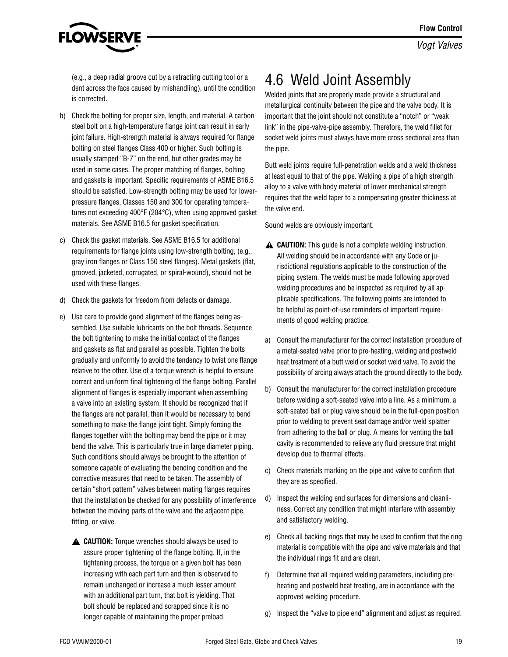

(e.g., a deep radial groove cut by a retracting cutting tool or a dent across the face caused by mishandling), until the condition is corrected.

- b) Check the bolting for proper size, length, and material. A carbon steel bolt on a high-temperature flange joint can result in early joint failure. High-strength material is always required for flange bolting on steel flanges Class 400 or higher. Such bolting is usually stamped "B-7" on the end, but other grades may be used in some cases. The proper matching of flanges, bolting and gaskets is important. Specific requirements of ASME B16.5 should be satisfied. Low-strength bolting may be used for lowerpressure flanges, Classes 150 and 300 for operating temperatures not exceeding 400°F (204°C), when using approved gasket materials. See ASME B16.5 for gasket specification.
- c) Check the gasket materials. See ASME B16.5 for additional requirements for flange joints using low-strength bolting, (e.g., gray iron flanges or Class 150 steel flanges). Metal gaskets (flat, grooved, jacketed, corrugated, or spiral-wound), should not be used with these flanges.
- d) Check the gaskets for freedom from defects or damage.
- e) Use care to provide good alignment of the flanges being assembled. Use suitable lubricants on the bolt threads. Sequence the bolt tightening to make the initial contact of the flanges and gaskets as flat and parallel as possible. Tighten the bolts gradually and uniformly to avoid the tendency to twist one flange relative to the other. Use of a torque wrench is helpful to ensure correct and uniform final tightening of the flange bolting. Parallel alignment of flanges is especially important when assembling a valve into an existing system. It should be recognized that if the flanges are not parallel, then it would be necessary to bend something to make the flange joint tight. Simply forcing the flanges together with the bolting may bend the pipe or it may bend the valve. This is particularly true in large diameter piping. Such conditions should always be brought to the attention of someone capable of evaluating the bending condition and the corrective measures that need to be taken. The assembly of certain "short pattern" valves between mating flanges requires that the installation be checked for any possibility of interference between the moving parts of the valve and the adjacent pipe, fitting, or valve.
	- **A CAUTION:** Torque wrenches should always be used to assure proper tightening of the flange bolting. If, in the tightening process, the torque on a given bolt has been increasing with each part turn and then is observed to remain unchanged or increase a much lesser amount with an additional part turn, that bolt is yielding. That bolt should be replaced and scrapped since it is no longer capable of maintaining the proper preload.

## 4.6 Weld Joint Assembly

Welded joints that are properly made provide a structural and metallurgical continuity between the pipe and the valve body. It is important that the joint should not constitute a "notch" or "weak link" in the pipe-valve-pipe assembly. Therefore, the weld fillet for socket weld joints must always have more cross sectional area than the pipe.

Butt weld joints require full-penetration welds and a weld thickness at least equal to that of the pipe. Welding a pipe of a high strength alloy to a valve with body material of lower mechanical strength requires that the weld taper to a compensating greater thickness at the valve end.

Sound welds are obviously important.

- **A CAUTION:** This guide is not a complete welding instruction. All welding should be in accordance with any Code or jurisdictional regulations applicable to the construction of the piping system. The welds must be made following approved welding procedures and be inspected as required by all applicable specifications. The following points are intended to be helpful as point-of-use reminders of important requirements of good welding practice:
- a) Consult the manufacturer for the correct installation procedure of a metal-seated valve prior to pre-heating, welding and postweld heat treatment of a butt weld or socket weld valve. To avoid the possibility of arcing always attach the ground directly to the body.
- b) Consult the manufacturer for the correct installation procedure before welding a soft-seated valve into a line. As a minimum, a soft-seated ball or plug valve should be in the full-open position prior to welding to prevent seat damage and/or weld splatter from adhering to the ball or plug. A means for venting the ball cavity is recommended to relieve any fluid pressure that might develop due to thermal effects.
- c) Check materials marking on the pipe and valve to confirm that they are as specified.
- d) Inspect the welding end surfaces for dimensions and cleanliness. Correct any condition that might interfere with assembly and satisfactory welding.
- e) Check all backing rings that may be used to confirm that the ring material is compatible with the pipe and valve materials and that the individual rings fit and are clean.
- f) Determine that all required welding parameters, including preheating and postweld heat treating, are in accordance with the approved welding procedure.
- g) Inspect the "valve to pipe end" alignment and adjust as required.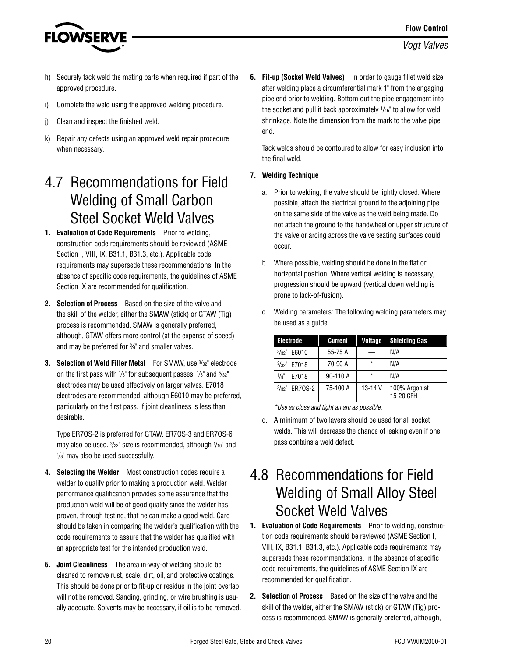- h) Securely tack weld the mating parts when required if part of the approved procedure.
- i) Complete the weld using the approved welding procedure.
- j) Clean and inspect the finished weld.
- k) Repair any defects using an approved weld repair procedure when necessary.

## 4.7 Recommendations for Field Welding of Small Carbon Steel Socket Weld Valves

- **1. Evaluation of Code Requirements** Prior to welding, construction code requirements should be reviewed (ASME Section I, VIII, IX, B31.1, B31.3, etc.). Applicable code requirements may supersede these recommendations. In the absence of specific code requirements, the guidelines of ASME Section IX are recommended for qualification.
- **2. Selection of Process** Based on the size of the valve and the skill of the welder, either the SMAW (stick) or GTAW (Tig) process is recommended. SMAW is generally preferred, although, GTAW offers more control (at the expense of speed) and may be preferred for 3/4" and smaller valves.
- **3. Selection of Weld Filler Metal** For SMAW, use 3 /32" electrode on the first pass with  $\frac{1}{8}$ " for subsequent passes.  $\frac{1}{8}$ " and  $\frac{5}{32}$ " electrodes may be used effectively on larger valves. E7018 electrodes are recommended, although E6010 may be preferred, particularly on the first pass, if joint cleanliness is less than desirable.

Type ER7OS-2 is preferred for GTAW. ER7OS-3 and ER7OS-6 may also be used.  $\frac{3}{22}$ " size is recommended, although  $\frac{1}{16}$ " and 1 /8" may also be used successfully.

- **4. Selecting the Welder** Most construction codes require a welder to qualify prior to making a production weld. Welder performance qualification provides some assurance that the production weld will be of good quality since the welder has proven, through testing, that he can make a good weld. Care should be taken in comparing the welder's qualification with the code requirements to assure that the welder has qualified with an appropriate test for the intended production weld.
- **5. Joint Cleanliness** The area in-way-of welding should be cleaned to remove rust, scale, dirt, oil, and protective coatings. This should be done prior to fit-up or residue in the joint overlap will not be removed. Sanding, grinding, or wire brushing is usually adequate. Solvents may be necessary, if oil is to be removed.

**6. Fit-up (Socket Weld Valves)** In order to gauge fillet weld size after welding place a circumferential mark 1" from the engaging pipe end prior to welding. Bottom out the pipe engagement into the socket and pull it back approximately  $1/16$ " to allow for weld shrinkage. Note the dimension from the mark to the valve pipe end.

Tack welds should be contoured to allow for easy inclusion into the final weld.

- **7. Welding Technique**
	- a. Prior to welding, the valve should be lightly closed. Where possible, attach the electrical ground to the adjoining pipe on the same side of the valve as the weld being made. Do not attach the ground to the handwheel or upper structure of the valve or arcing across the valve seating surfaces could occur.
	- b. Where possible, welding should be done in the flat or horizontal position. Where vertical welding is necessary, progression should be upward (vertical down welding is prone to lack-of-fusion).
	- c. Welding parameters: The following welding parameters may be used as a guide.

| <b>Electrode</b>     | Current  | Voltage | <b>Shielding Gas</b>       |
|----------------------|----------|---------|----------------------------|
| $\frac{3}{32}$ E6010 | 55-75 A  |         | N/A                        |
| $3/32$ " E7018       | 70-90 A  | $\star$ | N/A                        |
| 1/8"<br>E7018        | 90-110 A | $\star$ | N/A                        |
| $3/32$ " ER70S-2     | 75-100 A | 13-14 V | 100% Argon at<br>15-20 CFH |

*\*Use as close and tight an arc as possible.*

d. A minimum of two layers should be used for all socket welds. This will decrease the chance of leaking even if one pass contains a weld defect.

## 4.8 Recommendations for Field Welding of Small Alloy Steel Socket Weld Valves

- **1. Evaluation of Code Requirements** Prior to welding, construction code requirements should be reviewed (ASME Section I, VIII, IX, B31.1, B31.3, etc.). Applicable code requirements may supersede these recommendations. In the absence of specific code requirements, the guidelines of ASME Section IX are recommended for qualification.
- **2. Selection of Process** Based on the size of the valve and the skill of the welder, either the SMAW (stick) or GTAW (Tig) process is recommended. SMAW is generally preferred, although,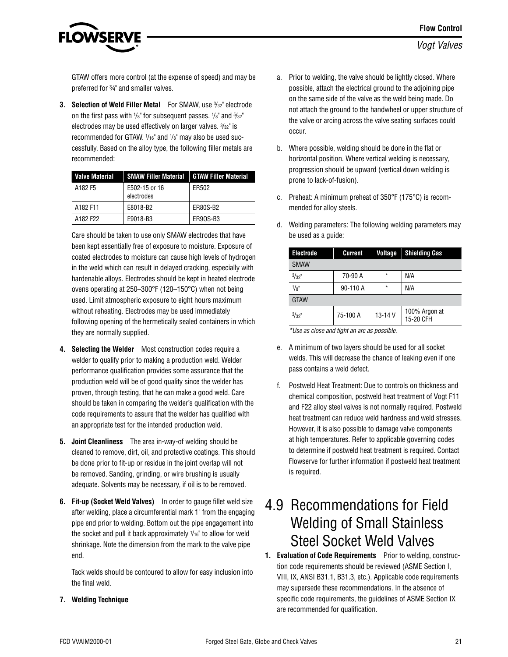



GTAW offers more control (at the expense of speed) and may be preferred for 3/4" and smaller valves.

**3. Selection of Weld Filler Metal** For SMAW, use 3/32" electrode on the first pass with  $\frac{1}{8}$ " for subsequent passes.  $\frac{1}{8}$ " and  $\frac{5}{32}$ " electrodes may be used effectively on larger valves. 3 /32" is recommended for GTAW.  $1/16"$  and  $1/8"$  may also be used successfully. Based on the alloy type, the following filler metals are recommended:

| <b>Valve Material</b> | SMAW Filler Material        | GTAW Filler Material |
|-----------------------|-----------------------------|----------------------|
| A182 F5               | E502-15 or 16<br>electrodes | ER502                |
| A182 F11              | E8018-B2                    | ER80S-B2             |
| A182 F22              | E9018-B3                    | <b>ER90S-B3</b>      |

Care should be taken to use only SMAW electrodes that have been kept essentially free of exposure to moisture. Exposure of coated electrodes to moisture can cause high levels of hydrogen in the weld which can result in delayed cracking, especially with hardenable alloys. Electrodes should be kept in heated electrode ovens operating at 250–300°F (120–150°C) when not being used. Limit atmospheric exposure to eight hours maximum without reheating. Electrodes may be used immediately following opening of the hermetically sealed containers in which they are normally supplied.

- **4. Selecting the Welder** Most construction codes require a welder to qualify prior to making a production weld. Welder performance qualification provides some assurance that the production weld will be of good quality since the welder has proven, through testing, that he can make a good weld. Care should be taken in comparing the welder's qualification with the code requirements to assure that the welder has qualified with an appropriate test for the intended production weld.
- **5. Joint Cleanliness** The area in-way-of welding should be cleaned to remove, dirt, oil, and protective coatings. This should be done prior to fit-up or residue in the joint overlap will not be removed. Sanding, grinding, or wire brushing is usually adequate. Solvents may be necessary, if oil is to be removed.
- **6. Fit-up (Socket Weld Valves)** In order to gauge fillet weld size after welding, place a circumferential mark 1" from the engaging pipe end prior to welding. Bottom out the pipe engagement into the socket and pull it back approximately 1 /16" to allow for weld shrinkage. Note the dimension from the mark to the valve pipe end.

Tack welds should be contoured to allow for easy inclusion into the final weld.

**7. Welding Technique**

- a. Prior to welding, the valve should be lightly closed. Where possible, attach the electrical ground to the adjoining pipe on the same side of the valve as the weld being made. Do not attach the ground to the handwheel or upper structure of the valve or arcing across the valve seating surfaces could occur.
- b. Where possible, welding should be done in the flat or horizontal position. Where vertical welding is necessary, progression should be upward (vertical down welding is prone to lack-of-fusion).
- c. Preheat: A minimum preheat of 350°F (175°C) is recommended for alloy steels.
- d. Welding parameters: The following welding parameters may be used as a guide:

| <b>Electrode</b> | <b>Current</b> | <b>Voltage</b> | <b>Shielding Gas</b>       |
|------------------|----------------|----------------|----------------------------|
| <b>SMAW</b>      |                |                |                            |
| $3/32$ "         | 70-90 A        | $\star$        | N/A                        |
| $\frac{1}{8}$ "  | 90-110 A       | $\star$        | N/A                        |
| <b>GTAW</b>      |                |                |                            |
| $3/32$ "         | 75-100 A       | $13 - 14V$     | 100% Argon at<br>15-20 CFH |

*\*Use as close and tight an arc as possible.*

- e. A minimum of two layers should be used for all socket welds. This will decrease the chance of leaking even if one pass contains a weld defect.
- Postweld Heat Treatment: Due to controls on thickness and chemical composition, postweld heat treatment of Vogt F11 and F22 alloy steel valves is not normally required. Postweld heat treatment can reduce weld hardness and weld stresses. However, it is also possible to damage valve components at high temperatures. Refer to applicable governing codes to determine if postweld heat treatment is required. Contact Flowserve for further information if postweld heat treatment is required.

## 4.9 Recommendations for Field Welding of Small Stainless Steel Socket Weld Valves

**1. Evaluation of Code Requirements** Prior to welding, construction code requirements should be reviewed (ASME Section I, VIII, IX, ANSI B31.1, B31.3, etc.). Applicable code requirements may supersede these recommendations. In the absence of specific code requirements, the guidelines of ASME Section IX are recommended for qualification.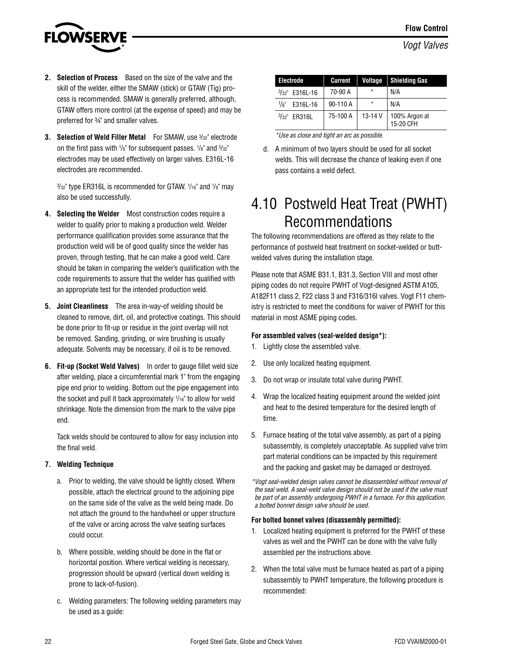

- **2. Selection of Process** Based on the size of the valve and the skill of the welder, either the SMAW (stick) or GTAW (Tig) process is recommended. SMAW is generally preferred, although, GTAW offers more control (at the expense of speed) and may be preferred for 3/4" and smaller valves.
- **3. Selection of Weld Filler Metal** For SMAW, use 3/32" electrode on the first pass with  $\frac{1}{8}$ " for subsequent passes.  $\frac{1}{8}$ " and  $\frac{5}{32}$ " electrodes may be used effectively on larger valves. E316L-16 electrodes are recommended.

3 /32" type ER316L is recommended for GTAW. 1 /16" and 1 /8" may also be used successfully.

- **4. Selecting the Welder** Most construction codes require a welder to qualify prior to making a production weld. Welder performance qualification provides some assurance that the production weld will be of good quality since the welder has proven, through testing, that he can make a good weld. Care should be taken in comparing the welder's qualification with the code requirements to assure that the welder has qualified with an appropriate test for the intended production weld.
- **5. Joint Cleanliness** The area in-way-of welding should be cleaned to remove, dirt, oil, and protective coatings. This should be done prior to fit-up or residue in the joint overlap will not be removed. Sanding, grinding, or wire brushing is usually adequate. Solvents may be necessary, if oil is to be removed.
- **6. Fit-up (Socket Weld Valves)** In order to gauge fillet weld size after welding, place a circumferential mark 1" from the engaging pipe end prior to welding. Bottom out the pipe engagement into the socket and pull it back approximately 1 /16" to allow for weld shrinkage. Note the dimension from the mark to the valve pipe end.

Tack welds should be contoured to allow for easy inclusion into the final weld.

#### **7. Welding Technique**

- a. Prior to welding, the valve should be lightly closed. Where possible, attach the electrical ground to the adjoining pipe on the same side of the valve as the weld being made. Do not attach the ground to the handwheel or upper structure of the valve or arcing across the valve seating surfaces could occur.
- b. Where possible, welding should be done in the flat or horizontal position. Where vertical welding is necessary, progression should be upward (vertical down welding is prone to lack-of-fusion).
- c. Welding parameters: The following welding parameters may be used as a guide:

| <b>Electrode</b>          | <b>Current</b> | Voltage | Shielding Gas              |
|---------------------------|----------------|---------|----------------------------|
| $\frac{3}{32}$ " E316L-16 | 70-90 A        | *       | N/A                        |
| 1/g''<br>E316L-16         | 90-110 A       | $\star$ | N/A                        |
| $\frac{3}{32}$ ER316L     | 75-100 A       | 13-14 V | 100% Argon at<br>15-20 CFH |

*<sup>\*</sup>Use as close and tight an arc as possible.*

d. A minimum of two layers should be used for all socket welds. This will decrease the chance of leaking even if one pass contains a weld defect.

## 4.10 Postweld Heat Treat (PWHT) Recommendations

The following recommendations are offered as they relate to the performance of postweld heat treatment on socket-welded or buttwelded valves during the installation stage.

Please note that ASME B31.1, B31.3, Section VIII and most other piping codes do not require PWHT of Vogt-designed ASTM A105, A182F11 class 2, F22 class 3 and F316/316l valves. Vogt F11 chemistry is restricted to meet the conditions for waiver of PWHT for this material in most ASME piping codes.

#### **For assembled valves (seal-welded design\*):**

- 1. Lightly close the assembled valve.
- 2. Use only localized heating equipment.
- 3. Do not wrap or insulate total valve during PWHT.
- 4. Wrap the localized heating equipment around the welded joint and heat to the desired temperature for the desired length of time.
- 5. Furnace heating of the total valve assembly, as part of a piping subassembly, is completely unacceptable. As supplied valve trim part material conditions can be impacted by this requirement and the packing and gasket may be damaged or destroyed.

*\*Vogt seal-welded design valves cannot be disassembled without removal of the seal weld. A seal-weld valve design should not be used if the valve must be part of an assembly undergoing PWHT in a furnace. For this application, a bolted bonnet design valve should be used.*

#### **For bolted bonnet valves (disassembly permitted):**

- 1. Localized heating equipment is preferred for the PWHT of these valves as well and the PWHT can be done with the valve fully assembled per the instructions above.
- 2. When the total valve must be furnace heated as part of a piping subassembly to PWHT temperature, the following procedure is recommended: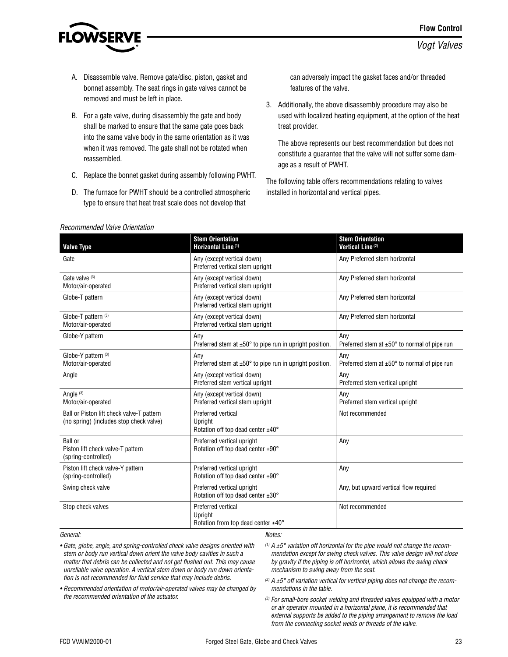



- A. Disassemble valve. Remove gate/disc, piston, gasket and bonnet assembly. The seat rings in gate valves cannot be removed and must be left in place.
- B. For a gate valve, during disassembly the gate and body shall be marked to ensure that the same gate goes back into the same valve body in the same orientation as it was when it was removed. The gate shall not be rotated when reassembled.
- C. Replace the bonnet gasket during assembly following PWHT.
- D. The furnace for PWHT should be a controlled atmospheric type to ensure that heat treat scale does not develop that

can adversely impact the gasket faces and/or threaded features of the valve.

3. Additionally, the above disassembly procedure may also be used with localized heating equipment, at the option of the heat treat provider.

The above represents our best recommendation but does not constitute a guarantee that the valve will not suffer some damage as a result of PWHT.

The following table offers recommendations relating to valves installed in horizontal and vertical pipes.

| <b>Valve Type</b>                                                                    | <b>Stem Orientation</b><br>Horizontal Line <sup>(1)</sup>                | <b>Stem Orientation</b><br>Vertical Line <sup>(2)</sup> |
|--------------------------------------------------------------------------------------|--------------------------------------------------------------------------|---------------------------------------------------------|
| Gate                                                                                 | Any (except vertical down)<br>Preferred vertical stem upright            | Any Preferred stem horizontal                           |
| Gate valve (3)<br>Motor/air-operated                                                 | Any (except vertical down)<br>Preferred vertical stem upright            | Any Preferred stem horizontal                           |
| Globe-T pattern                                                                      | Any (except vertical down)<br>Preferred vertical stem upright            | Any Preferred stem horizontal                           |
| Globe-T pattern (3)<br>Motor/air-operated                                            | Any (except vertical down)<br>Preferred vertical stem upright            | Any Preferred stem horizontal                           |
| Globe-Y pattern                                                                      | Any<br>Preferred stem at $\pm 50^\circ$ to pipe run in upright position. | Any<br>Preferred stem at ±50° to normal of pipe run     |
| Globe-Y pattern (3)<br>Motor/air-operated                                            | Any<br>Preferred stem at $\pm 50^\circ$ to pipe run in upright position. | Any<br>Preferred stem at ±50° to normal of pipe run     |
| Angle                                                                                | Any (except vertical down)<br>Preferred stem vertical upright            | Any<br>Preferred stem vertical upright                  |
| Angle <sup>(3)</sup><br>Motor/air-operated                                           | Any (except vertical down)<br>Preferred vertical stem upright            | Anv<br>Preferred stem vertical upright                  |
| Ball or Piston lift check valve-T pattern<br>(no spring) (includes stop check valve) | Preferred vertical<br>Upright<br>Rotation off top dead center ±40°       | Not recommended                                         |
| Ball or<br>Piston lift check valve-T pattern<br>(spring-controlled)                  | Preferred vertical upright<br>Rotation off top dead center ±90°          | Any                                                     |
| Piston lift check valve-Y pattern<br>(spring-controlled)                             | Preferred vertical upright<br>Rotation off top dead center ±90°          | Any                                                     |
| Swing check valve                                                                    | Preferred vertical upright<br>Rotation off top dead center ±30°          | Any, but upward vertical flow required                  |
| Stop check valves                                                                    | Preferred vertical<br>Upright<br>Rotation from top dead center ±40°      | Not recommended                                         |

#### *Recommended Valve Orientation*

*General:*

#### *Notes:*

- *Gate, globe, angle, and spring-controlled check valve designs oriented with stem or body run vertical down orient the valve body cavities in such a matter that debris can be collected and not get flushed out. This may cause unreliable valve operation. A vertical stem down or body run down orientation is not recommended for fluid service that may include debris.*
- *Recommended orientation of motor/air-operated valves may be changed by the recommended orientation of the actuator.*
- *(1) A ±5° variation off horizontal for the pipe would not change the recommendation except for swing check valves. This valve design will not close by gravity if the piping is off horizontal, which allows the swing check mechanism to swing away from the seat.*
- *(2) A ±5° off variation vertical for vertical piping does not change the recommendations in the table.*
- *(3) For small-bore socket welding and threaded valves equipped with a motor or air operator mounted in a horizontal plane, it is recommended that external supports be added to the piping arrangement to remove the load from the connecting socket welds or threads of the valve.*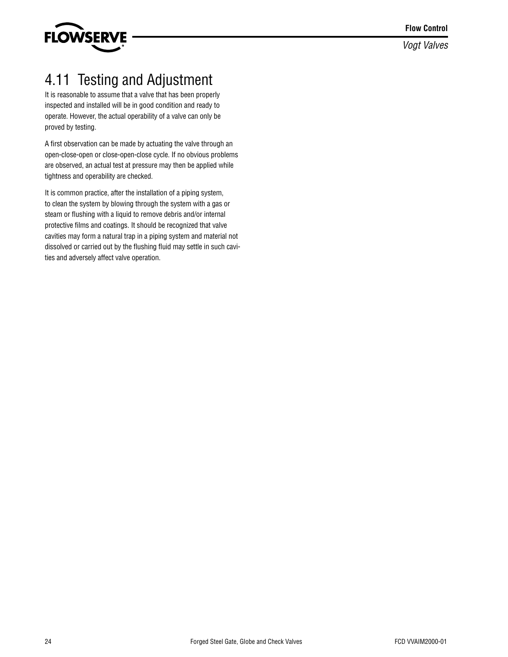

**Flow Control**

*Vogt Valves*

## 4.11 Testing and Adjustment

It is reasonable to assume that a valve that has been properly inspected and installed will be in good condition and ready to operate. However, the actual operability of a valve can only be proved by testing.

A first observation can be made by actuating the valve through an open-close-open or close-open-close cycle. If no obvious problems are observed, an actual test at pressure may then be applied while tightness and operability are checked.

It is common practice, after the installation of a piping system, to clean the system by blowing through the system with a gas or steam or flushing with a liquid to remove debris and/or internal protective films and coatings. It should be recognized that valve cavities may form a natural trap in a piping system and material not dissolved or carried out by the flushing fluid may settle in such cavities and adversely affect valve operation.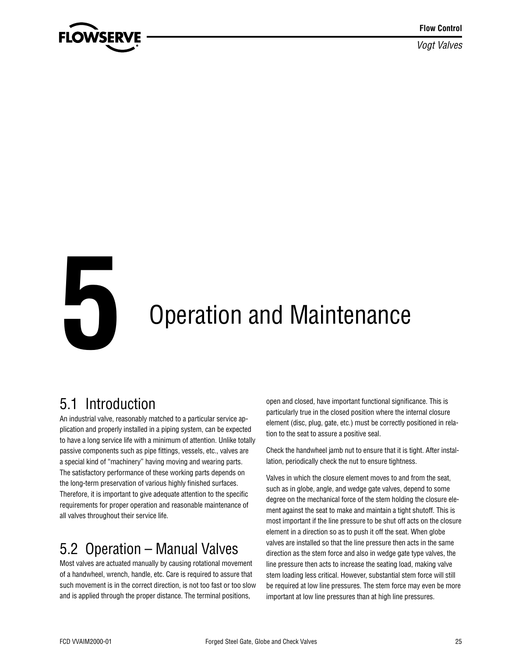

# **5** Operation and Maintenance

## 5.1 Introduction

An industrial valve, reasonably matched to a particular service application and properly installed in a piping system, can be expected to have a long service life with a minimum of attention. Unlike totally passive components such as pipe fittings, vessels, etc., valves are a special kind of "machinery" having moving and wearing parts. The satisfactory performance of these working parts depends on the long-term preservation of various highly finished surfaces. Therefore, it is important to give adequate attention to the specific requirements for proper operation and reasonable maintenance of all valves throughout their service life.

## 5.2 Operation – Manual Valves

Most valves are actuated manually by causing rotational movement of a handwheel, wrench, handle, etc. Care is required to assure that such movement is in the correct direction, is not too fast or too slow and is applied through the proper distance. The terminal positions,

open and closed, have important functional significance. This is particularly true in the closed position where the internal closure element (disc, plug, gate, etc.) must be correctly positioned in relation to the seat to assure a positive seal.

Check the handwheel jamb nut to ensure that it is tight. After installation, periodically check the nut to ensure tightness.

Valves in which the closure element moves to and from the seat, such as in globe, angle, and wedge gate valves, depend to some degree on the mechanical force of the stem holding the closure element against the seat to make and maintain a tight shutoff. This is most important if the line pressure to be shut off acts on the closure element in a direction so as to push it off the seat. When globe valves are installed so that the line pressure then acts in the same direction as the stem force and also in wedge gate type valves, the line pressure then acts to increase the seating load, making valve stem loading less critical. However, substantial stem force will still be required at low line pressures. The stem force may even be more important at low line pressures than at high line pressures.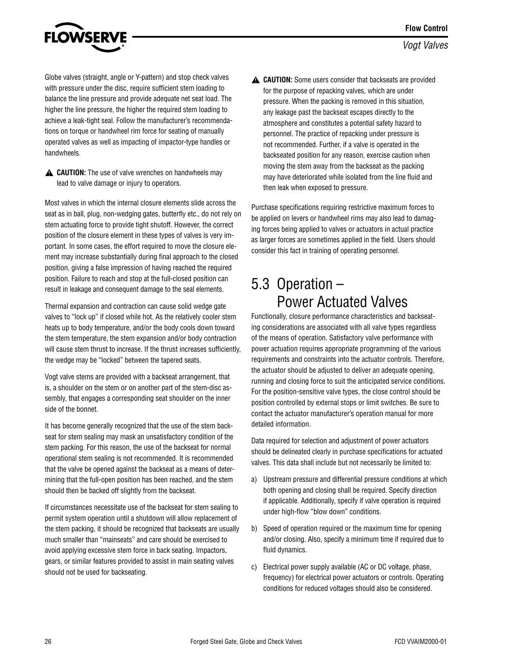

Globe valves (straight, angle or Y-pattern) and stop check valves with pressure under the disc, require sufficient stem loading to balance the line pressure and provide adequate net seat load. The higher the line pressure, the higher the required stem loading to achieve a leak-tight seal. Follow the manufacturer's recommendations on torque or handwheel rim force for seating of manually operated valves as well as impacting of impactor-type handles or handwheels.

**A** CAUTION: The use of valve wrenches on handwheels may lead to valve damage or injury to operators.

Most valves in which the internal closure elements slide across the seat as in ball, plug, non-wedging gates, butterfly etc., do not rely on stem actuating force to provide tight shutoff. However, the correct position of the closure element in these types of valves is very important. In some cases, the effort required to move the closure element may increase substantially during final approach to the closed position, giving a false impression of having reached the required position. Failure to reach and stop at the full-closed position can result in leakage and consequent damage to the seal elements.

Thermal expansion and contraction can cause solid wedge gate valves to "lock up" if closed while hot. As the relatively cooler stem heats up to body temperature, and/or the body cools down toward the stem temperature, the stem expansion and/or body contraction will cause stem thrust to increase. If the thrust increases sufficiently, the wedge may be "locked" between the tapered seats.

Vogt valve stems are provided with a backseat arrangement, that is, a shoulder on the stem or on another part of the stem-disc assembly, that engages a corresponding seat shoulder on the inner side of the bonnet.

It has become generally recognized that the use of the stem backseat for stem sealing may mask an unsatisfactory condition of the stem packing. For this reason, the use of the backseat for normal operational stem sealing is not recommended. It is recommended that the valve be opened against the backseat as a means of determining that the full-open position has been reached, and the stem should then be backed off slightly from the backseat.

If circumstances necessitate use of the backseat for stem sealing to permit system operation until a shutdown will allow replacement of the stem packing, it should be recognized that backseats are usually much smaller than "mainseats" and care should be exercised to avoid applying excessive stem force in back seating. Impactors, gears, or similar features provided to assist in main seating valves should not be used for backseating.

**A CAUTION:** Some users consider that backseats are provided for the purpose of repacking valves, which are under pressure. When the packing is removed in this situation, any leakage past the backseat escapes directly to the atmosphere and constitutes a potential safety hazard to personnel. The practice of repacking under pressure is not recommended. Further, if a valve is operated in the backseated position for any reason, exercise caution when moving the stem away from the backseat as the packing may have deteriorated while isolated from the line fluid and then leak when exposed to pressure.

Purchase specifications requiring restrictive maximum forces to be applied on levers or handwheel rims may also lead to damaging forces being applied to valves or actuators in actual practice as larger forces are sometimes applied in the field. Users should consider this fact in training of operating personnel.

## 5.3 Operation – Power Actuated Valves

Functionally, closure performance characteristics and backseating considerations are associated with all valve types regardless of the means of operation. Satisfactory valve performance with power actuation requires appropriate programming of the various requirements and constraints into the actuator controls. Therefore, the actuator should be adjusted to deliver an adequate opening, running and closing force to suit the anticipated service conditions. For the position-sensitive valve types, the close control should be position controlled by external stops or limit switches. Be sure to contact the actuator manufacturer's operation manual for more detailed information.

Data required for selection and adjustment of power actuators should be delineated clearly in purchase specifications for actuated valves. This data shall include but not necessarily be limited to:

- a) Upstream pressure and differential pressure conditions at which both opening and closing shall be required. Specify direction if applicable. Additionally, specify if valve operation is required under high-flow "blow down" conditions.
- b) Speed of operation required or the maximum time for opening and/or closing. Also, specify a minimum time if required due to fluid dynamics.
- c) Electrical power supply available (AC or DC voltage, phase, frequency) for electrical power actuators or controls. Operating conditions for reduced voltages should also be considered.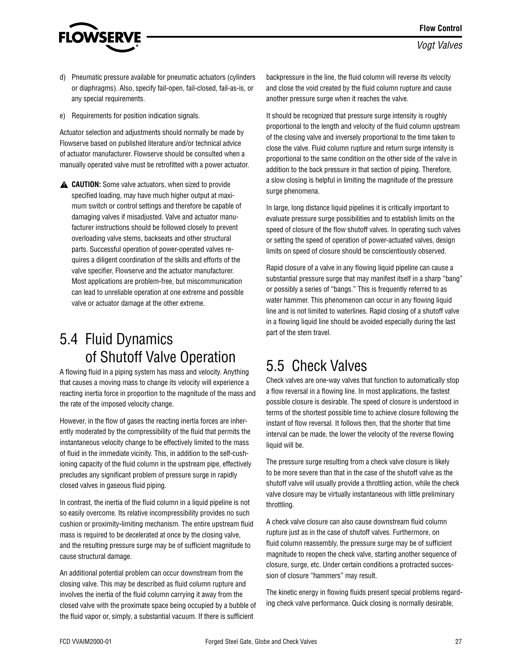## **FLOWSER**

- d) Pneumatic pressure available for pneumatic actuators (cylinders or diaphragms). Also, specify fail-open, fail-closed, fail-as-is, or any special requirements.
- e) Requirements for position indication signals.

Actuator selection and adjustments should normally be made by Flowserve based on published literature and/or technical advice of actuator manufacturer. Flowserve should be consulted when a manually operated valve must be retrofitted with a power actuator.

**A CAUTION:** Some valve actuators, when sized to provide specified loading, may have much higher output at maximum switch or control settings and therefore be capable of damaging valves if misadjusted. Valve and actuator manufacturer instructions should be followed closely to prevent overloading valve stems, backseats and other structural parts. Successful operation of power-operated valves requires a diligent coordination of the skills and efforts of the valve specifier, Flowserve and the actuator manufacturer. Most applications are problem-free, but miscommunication can lead to unreliable operation at one extreme and possible valve or actuator damage at the other extreme.

## 5.4 Fluid Dynamics of Shutoff Valve Operation

A flowing fluid in a piping system has mass and velocity. Anything that causes a moving mass to change its velocity will experience a reacting inertia force in proportion to the magnitude of the mass and the rate of the imposed velocity change.

However, in the flow of gases the reacting inertia forces are inherently moderated by the compressibility of the fluid that permits the instantaneous velocity change to be effectively limited to the mass of fluid in the immediate vicinity. This, in addition to the self-cushioning capacity of the fluid column in the upstream pipe, effectively precludes any significant problem of pressure surge in rapidly closed valves in gaseous fluid piping.

In contrast, the inertia of the fluid column in a liquid pipeline is not so easily overcome. Its relative incompressibility provides no such cushion or proximity-limiting mechanism. The entire upstream fluid mass is required to be decelerated at once by the closing valve, and the resulting pressure surge may be of sufficient magnitude to cause structural damage.

An additional potential problem can occur downstream from the closing valve. This may be described as fluid column rupture and involves the inertia of the fluid column carrying it away from the closed valve with the proximate space being occupied by a bubble of the fluid vapor or, simply, a substantial vacuum. If there is sufficient

backpressure in the line, the fluid column will reverse its velocity and close the void created by the fluid column rupture and cause another pressure surge when it reaches the valve.

It should be recognized that pressure surge intensity is roughly proportional to the length and velocity of the fluid column upstream of the closing valve and inversely proportional to the time taken to close the valve. Fluid column rupture and return surge intensity is proportional to the same condition on the other side of the valve in addition to the back pressure in that section of piping. Therefore, a slow closing is helpful in limiting the magnitude of the pressure surge phenomena.

In large, long distance liquid pipelines it is critically important to evaluate pressure surge possibilities and to establish limits on the speed of closure of the flow shutoff valves. In operating such valves or setting the speed of operation of power-actuated valves, design limits on speed of closure should be conscientiously observed.

Rapid closure of a valve in any flowing liquid pipeline can cause a substantial pressure surge that may manifest itself in a sharp "bang" or possibly a series of "bangs." This is frequently referred to as water hammer. This phenomenon can occur in any flowing liquid line and is not limited to waterlines. Rapid closing of a shutoff valve in a flowing liquid line should be avoided especially during the last part of the stem travel.

## 5.5 Check Valves

Check valves are one-way valves that function to automatically stop a flow reversal in a flowing line. In most applications, the fastest possible closure is desirable. The speed of closure is understood in terms of the shortest possible time to achieve closure following the instant of flow reversal. It follows then, that the shorter that time interval can be made, the lower the velocity of the reverse flowing liquid will be.

The pressure surge resulting from a check valve closure is likely to be more severe than that in the case of the shutoff valve as the shutoff valve will usually provide a throttling action, while the check valve closure may be virtually instantaneous with little preliminary throttling.

A check valve closure can also cause downstream fluid column rupture just as in the case of shutoff valves. Furthermore, on fluid column reassembly, the pressure surge may be of sufficient magnitude to reopen the check valve, starting another sequence of closure, surge, etc. Under certain conditions a protracted succession of closure "hammers" may result.

The kinetic energy in flowing fluids present special problems regarding check valve performance. Quick closing is normally desirable,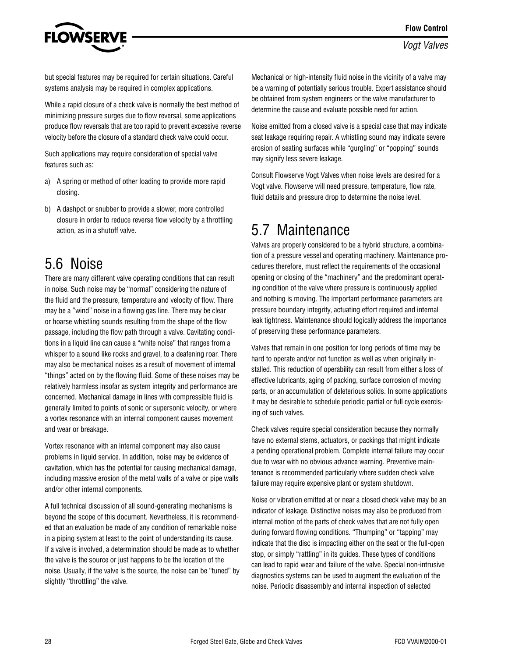but special features may be required for certain situations. Careful systems analysis may be required in complex applications.

While a rapid closure of a check valve is normally the best method of minimizing pressure surges due to flow reversal, some applications produce flow reversals that are too rapid to prevent excessive reverse velocity before the closure of a standard check valve could occur.

Such applications may require consideration of special valve features such as:

- a) A spring or method of other loading to provide more rapid closing.
- b) A dashpot or snubber to provide a slower, more controlled closure in order to reduce reverse flow velocity by a throttling action, as in a shutoff valve.

## 5.6 Noise

**FLOWSER** 

There are many different valve operating conditions that can result in noise. Such noise may be "normal" considering the nature of the fluid and the pressure, temperature and velocity of flow. There may be a "wind" noise in a flowing gas line. There may be clear or hoarse whistling sounds resulting from the shape of the flow passage, including the flow path through a valve. Cavitating conditions in a liquid line can cause a "white noise" that ranges from a whisper to a sound like rocks and gravel, to a deafening roar. There may also be mechanical noises as a result of movement of internal "things" acted on by the flowing fluid. Some of these noises may be relatively harmless insofar as system integrity and performance are concerned. Mechanical damage in lines with compressible fluid is generally limited to points of sonic or supersonic velocity, or where a vortex resonance with an internal component causes movement and wear or breakage.

Vortex resonance with an internal component may also cause problems in liquid service. In addition, noise may be evidence of cavitation, which has the potential for causing mechanical damage, including massive erosion of the metal walls of a valve or pipe walls and/or other internal components.

A full technical discussion of all sound-generating mechanisms is beyond the scope of this document. Nevertheless, it is recommended that an evaluation be made of any condition of remarkable noise in a piping system at least to the point of understanding its cause. If a valve is involved, a determination should be made as to whether the valve is the source or just happens to be the location of the noise. Usually, if the valve is the source, the noise can be "tuned" by slightly "throttling" the valve.

Mechanical or high-intensity fluid noise in the vicinity of a valve may be a warning of potentially serious trouble. Expert assistance should be obtained from system engineers or the valve manufacturer to determine the cause and evaluate possible need for action.

Noise emitted from a closed valve is a special case that may indicate seat leakage requiring repair. A whistling sound may indicate severe erosion of seating surfaces while "gurgling" or "popping" sounds may signify less severe leakage.

Consult Flowserve Vogt Valves when noise levels are desired for a Vogt valve. Flowserve will need pressure, temperature, flow rate, fluid details and pressure drop to determine the noise level.

## 5.7 Maintenance

Valves are properly considered to be a hybrid structure, a combination of a pressure vessel and operating machinery. Maintenance procedures therefore, must reflect the requirements of the occasional opening or closing of the "machinery" and the predominant operating condition of the valve where pressure is continuously applied and nothing is moving. The important performance parameters are pressure boundary integrity, actuating effort required and internal leak tightness. Maintenance should logically address the importance of preserving these performance parameters.

Valves that remain in one position for long periods of time may be hard to operate and/or not function as well as when originally installed. This reduction of operability can result from either a loss of effective lubricants, aging of packing, surface corrosion of moving parts, or an accumulation of deleterious solids. In some applications it may be desirable to schedule periodic partial or full cycle exercising of such valves.

Check valves require special consideration because they normally have no external stems, actuators, or packings that might indicate a pending operational problem. Complete internal failure may occur due to wear with no obvious advance warning. Preventive maintenance is recommended particularly where sudden check valve failure may require expensive plant or system shutdown.

Noise or vibration emitted at or near a closed check valve may be an indicator of leakage. Distinctive noises may also be produced from internal motion of the parts of check valves that are not fully open during forward flowing conditions. "Thumping" or "tapping" may indicate that the disc is impacting either on the seat or the full-open stop, or simply "rattling" in its guides. These types of conditions can lead to rapid wear and failure of the valve. Special non-intrusive diagnostics systems can be used to augment the evaluation of the noise. Periodic disassembly and internal inspection of selected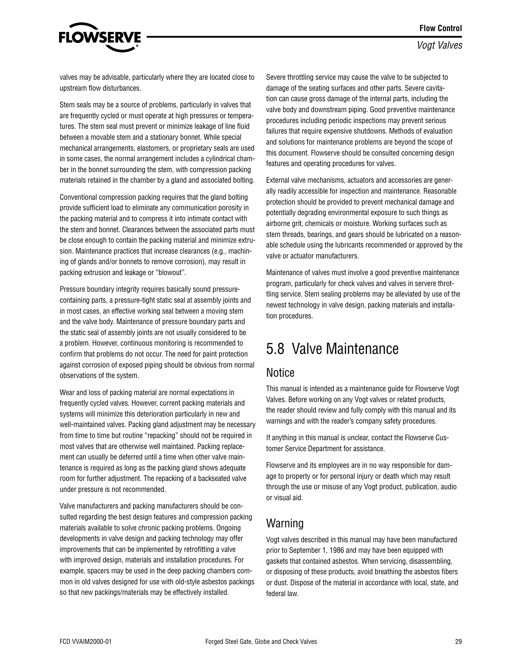

valves may be advisable, particularly where they are located close to upstream flow disturbances.

Stem seals may be a source of problems, particularly in valves that are frequently cycled or must operate at high pressures or temperatures. The stem seal must prevent or minimize leakage of line fluid between a movable stem and a stationary bonnet. While special mechanical arrangements, elastomers, or proprietary seals are used in some cases, the normal arrangement includes a cylindrical chamber in the bonnet surrounding the stem, with compression packing materials retained in the chamber by a gland and associated bolting.

Conventional compression packing requires that the gland bolting provide sufficient load to eliminate any communication porosity in the packing material and to compress it into intimate contact with the stem and bonnet. Clearances between the associated parts must be close enough to contain the packing material and minimize extrusion. Maintenance practices that increase clearances (e.g., machining of glands and/or bonnets to remove corrosion), may result in packing extrusion and leakage or "blowout".

Pressure boundary integrity requires basically sound pressurecontaining parts, a pressure-tight static seal at assembly joints and in most cases, an effective working seal between a moving stem and the valve body. Maintenance of pressure boundary parts and the static seal of assembly joints are not usually considered to be a problem. However, continuous monitoring is recommended to confirm that problems do not occur. The need for paint protection against corrosion of exposed piping should be obvious from normal observations of the system.

Wear and loss of packing material are normal expectations in frequently cycled valves. However, current packing materials and systems will minimize this deterioration particularly in new and well-maintained valves. Packing gland adjustment may be necessary from time to time but routine "repacking" should not be required in most valves that are otherwise well maintained. Packing replacement can usually be deferred until a time when other valve maintenance is required as long as the packing gland shows adequate room for further adjustment. The repacking of a backseated valve under pressure is not recommended.

Valve manufacturers and packing manufacturers should be consulted regarding the best design features and compression packing materials available to solve chronic packing problems. Ongoing developments in valve design and packing technology may offer improvements that can be implemented by retrofitting a valve with improved design, materials and installation procedures. For example, spacers may be used in the deep packing chambers common in old valves designed for use with old-style asbestos packings so that new packings/materials may be effectively installed.

Severe throttling service may cause the valve to be subjected to damage of the seating surfaces and other parts. Severe cavitation can cause gross damage of the internal parts, including the valve body and downstream piping. Good preventive maintenance procedures including periodic inspections may prevent serious failures that require expensive shutdowns. Methods of evaluation and solutions for maintenance problems are beyond the scope of this document. Flowserve should be consulted concerning design features and operating procedures for valves.

External valve mechanisms, actuators and accessories are generally readily accessible for inspection and maintenance. Reasonable protection should be provided to prevent mechanical damage and potentially degrading environmental exposure to such things as airborne grit, chemicals or moisture. Working surfaces such as stem threads, bearings, and gears should be lubricated on a reasonable schedule using the lubricants recommended or approved by the valve or actuator manufacturers.

Maintenance of valves must involve a good preventive maintenance program, particularly for check valves and valves in servere throttling service. Stem sealing problems may be alleviated by use of the newest technology in valve design, packing materials and installation procedures.

## 5.8 Valve Maintenance

#### **Notice**

This manual is intended as a maintenance guide for Flowserve Vogt Valves. Before working on any Vogt valves or related products, the reader should review and fully comply with this manual and its warnings and with the reader's company safety procedures.

If anything in this manual is unclear, contact the Flowserve Customer Service Department for assistance.

Flowserve and its employees are in no way responsible for damage to property or for personal injury or death which may result through the use or misuse of any Vogt product, publication, audio or visual aid.

#### Warning

Vogt valves described in this manual may have been manufactured prior to September 1, 1986 and may have been equipped with gaskets that contained asbestos. When servicing, disassembling, or disposing of these products, avoid breathing the asbestos fibers or dust. Dispose of the material in accordance with local, state, and federal law.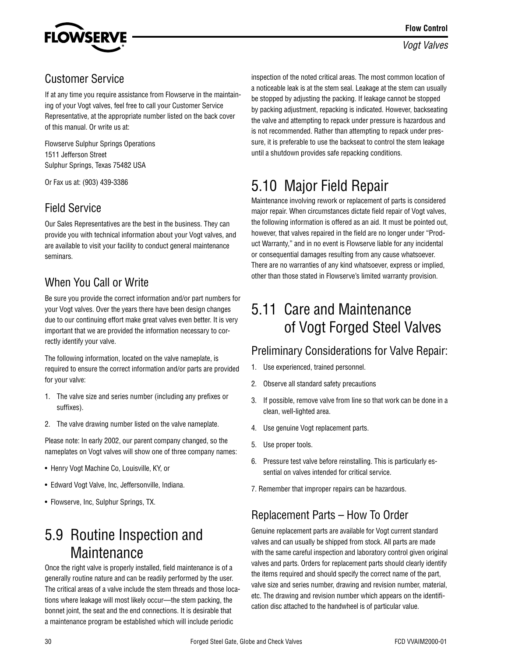

### Customer Service

If at any time you require assistance from Flowserve in the maintaining of your Vogt valves, feel free to call your Customer Service Representative, at the appropriate number listed on the back cover of this manual. Or write us at:

Flowserve Sulphur Springs Operations 1511 Jefferson Street Sulphur Springs, Texas 75482 USA

Or Fax us at: (903) 439-3386

#### Field Service

Our Sales Representatives are the best in the business. They can provide you with technical information about your Vogt valves, and are available to visit your facility to conduct general maintenance seminars.

### When You Call or Write

Be sure you provide the correct information and/or part numbers for your Vogt valves. Over the years there have been design changes due to our continuing effort make great valves even better. It is very important that we are provided the information necessary to correctly identify your valve.

The following information, located on the valve nameplate, is required to ensure the correct information and/or parts are provided for your valve:

- 1. The valve size and series number (including any prefixes or suffixes).
- 2. The valve drawing number listed on the valve nameplate.

Please note: In early 2002, our parent company changed, so the nameplates on Vogt valves will show one of three company names:

- Henry Vogt Machine Co, Louisville, KY, or
- Edward Vogt Valve, Inc, Jeffersonville, Indiana.
- Flowserve, Inc, Sulphur Springs, TX.

## 5.9 Routine Inspection and **Maintenance**

Once the right valve is properly installed, field maintenance is of a generally routine nature and can be readily performed by the user. The critical areas of a valve include the stem threads and those locations where leakage will most likely occur—the stem packing, the bonnet joint, the seat and the end connections. It is desirable that a maintenance program be established which will include periodic

inspection of the noted critical areas. The most common location of a noticeable leak is at the stem seal. Leakage at the stem can usually be stopped by adjusting the packing. If leakage cannot be stopped by packing adjustment, repacking is indicated. However, backseating the valve and attempting to repack under pressure is hazardous and is not recommended. Rather than attempting to repack under pressure, it is preferable to use the backseat to control the stem leakage until a shutdown provides safe repacking conditions.

## 5.10 Major Field Repair

Maintenance involving rework or replacement of parts is considered major repair. When circumstances dictate field repair of Vogt valves, the following information is offered as an aid. It must be pointed out, however, that valves repaired in the field are no longer under "Product Warranty," and in no event is Flowserve liable for any incidental or consequential damages resulting from any cause whatsoever. There are no warranties of any kind whatsoever, express or implied, other than those stated in Flowserve's limited warranty provision.

## 5.11 Care and Maintenance of Vogt Forged Steel Valves

#### Preliminary Considerations for Valve Repair:

- 1. Use experienced, trained personnel.
- 2. Observe all standard safety precautions
- 3. If possible, remove valve from line so that work can be done in a clean, well-lighted area.
- 4. Use genuine Vogt replacement parts.
- 5. Use proper tools.
- 6. Pressure test valve before reinstalling. This is particularly essential on valves intended for critical service.
- 7. Remember that improper repairs can be hazardous.

#### Replacement Parts – How To Order

Genuine replacement parts are available for Vogt current standard valves and can usually be shipped from stock. All parts are made with the same careful inspection and laboratory control given original valves and parts. Orders for replacement parts should clearly identify the items required and should specify the correct name of the part, valve size and series number, drawing and revision number, material, etc. The drawing and revision number which appears on the identification disc attached to the handwheel is of particular value.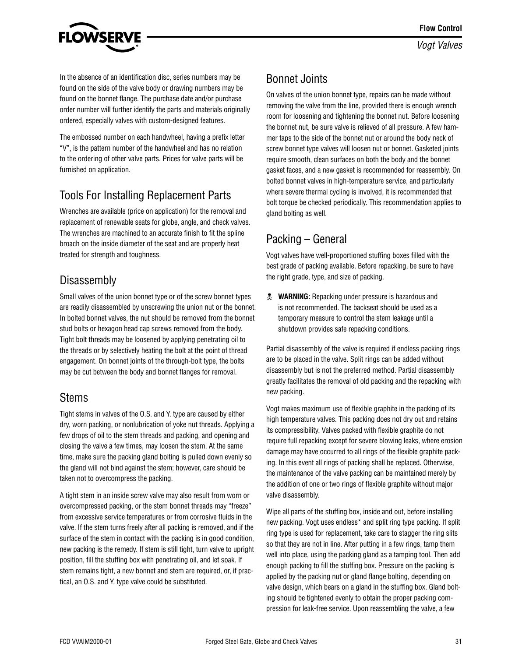

In the absence of an identification disc, series numbers may be found on the side of the valve body or drawing numbers may be found on the bonnet flange. The purchase date and/or purchase order number will further identify the parts and materials originally ordered, especially valves with custom-designed features.

The embossed number on each handwheel, having a prefix letter "V", is the pattern number of the handwheel and has no relation to the ordering of other valve parts. Prices for valve parts will be furnished on application.

## Tools For Installing Replacement Parts

Wrenches are available (price on application) for the removal and replacement of renewable seats for globe, angle, and check valves. The wrenches are machined to an accurate finish to fit the spline broach on the inside diameter of the seat and are properly heat treated for strength and toughness.

#### Disassembly

Small valves of the union bonnet type or of the screw bonnet types are readily disassembled by unscrewing the union nut or the bonnet. In bolted bonnet valves, the nut should be removed from the bonnet stud bolts or hexagon head cap screws removed from the body. Tight bolt threads may be loosened by applying penetrating oil to the threads or by selectively heating the bolt at the point of thread engagement. On bonnet joints of the through-bolt type, the bolts may be cut between the body and bonnet flanges for removal.

#### Stems

Tight stems in valves of the O.S. and Y. type are caused by either dry, worn packing, or nonlubrication of yoke nut threads. Applying a few drops of oil to the stem threads and packing, and opening and closing the valve a few times, may loosen the stem. At the same time, make sure the packing gland bolting is pulled down evenly so the gland will not bind against the stem; however, care should be taken not to overcompress the packing.

A tight stem in an inside screw valve may also result from worn or overcompressed packing, or the stem bonnet threads may "freeze" from excessive service temperatures or from corrosive fluids in the valve. If the stem turns freely after all packing is removed, and if the surface of the stem in contact with the packing is in good condition, new packing is the remedy. If stem is still tight, turn valve to upright position, fill the stuffing box with penetrating oil, and let soak. If stem remains tight, a new bonnet and stem are required, or, if practical, an O.S. and Y. type valve could be substituted.

## Bonnet Joints

On valves of the union bonnet type, repairs can be made without removing the valve from the line, provided there is enough wrench room for loosening and tightening the bonnet nut. Before loosening the bonnet nut, be sure valve is relieved of all pressure. A few hammer taps to the side of the bonnet nut or around the body neck of screw bonnet type valves will loosen nut or bonnet. Gasketed joints require smooth, clean surfaces on both the body and the bonnet gasket faces, and a new gasket is recommended for reassembly. On bolted bonnet valves in high-temperature service, and particularly where severe thermal cycling is involved, it is recommended that bolt torque be checked periodically. This recommendation applies to gland bolting as well.

### Packing – General

Vogt valves have well-proportioned stuffing boxes filled with the best grade of packing available. Before repacking, be sure to have the right grade, type, and size of packing.

**2 WARNING:** Repacking under pressure is hazardous and is not recommended. The backseat should be used as a temporary measure to control the stem leakage until a shutdown provides safe repacking conditions.

Partial disassembly of the valve is required if endless packing rings are to be placed in the valve. Split rings can be added without disassembly but is not the preferred method. Partial disassembly greatly facilitates the removal of old packing and the repacking with new packing.

Vogt makes maximum use of flexible graphite in the packing of its high temperature valves. This packing does not dry out and retains its compressibility. Valves packed with flexible graphite do not require full repacking except for severe blowing leaks, where erosion damage may have occurred to all rings of the flexible graphite packing. In this event all rings of packing shall be replaced. Otherwise, the maintenance of the valve packing can be maintained merely by the addition of one or two rings of flexible graphite without major valve disassembly.

Wipe all parts of the stuffing box, inside and out, before installing new packing. Vogt uses endless\* and split ring type packing. If split ring type is used for replacement, take care to stagger the ring slits so that they are not in line. After putting in a few rings, tamp them well into place, using the packing gland as a tamping tool. Then add enough packing to fill the stuffing box. Pressure on the packing is applied by the packing nut or gland flange bolting, depending on valve design, which bears on a gland in the stuffing box. Gland bolting should be tightened evenly to obtain the proper packing compression for leak-free service. Upon reassembling the valve, a few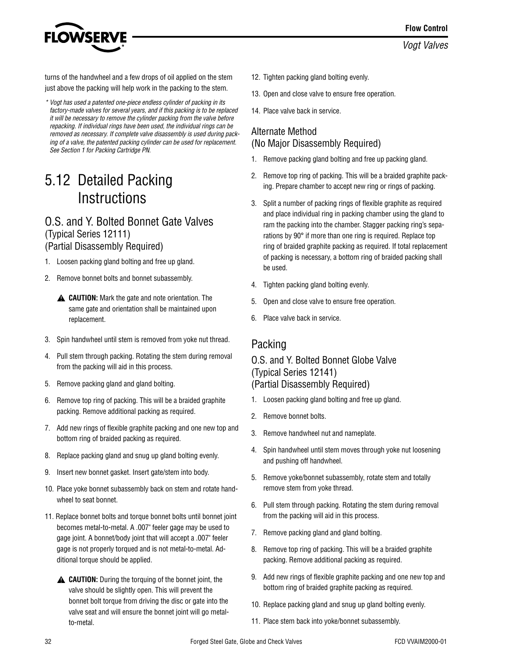

turns of the handwheel and a few drops of oil applied on the stem just above the packing will help work in the packing to the stem.

*\* Vogt has used a patented one-piece endless cylinder of packing in its factory-made valves for several years, and if this packing is to be replaced it will be necessary to remove the cylinder packing from the valve before repacking. If individual rings have been used, the individual rings can be removed as necessary. If complete valve disassembly is used during packing of a valve, the patented packing cylinder can be used for replacement. See Section 1 for Packing Cartridge PN.*

## 5.12 Detailed Packing **Instructions**

#### O.S. and Y. Bolted Bonnet Gate Valves (Typical Series 12111) (Partial Disassembly Required)

- 1. Loosen packing gland bolting and free up gland.
- 2. Remove bonnet bolts and bonnet subassembly.
	- **A CAUTION:** Mark the gate and note orientation. The same gate and orientation shall be maintained upon replacement.
- 3. Spin handwheel until stem is removed from yoke nut thread.
- 4. Pull stem through packing. Rotating the stem during removal from the packing will aid in this process.
- 5. Remove packing gland and gland bolting.
- 6. Remove top ring of packing. This will be a braided graphite packing. Remove additional packing as required.
- 7. Add new rings of flexible graphite packing and one new top and bottom ring of braided packing as required.
- 8. Replace packing gland and snug up gland bolting evenly.
- 9. Insert new bonnet gasket. Insert gate/stem into body.
- 10. Place yoke bonnet subassembly back on stem and rotate handwheel to seat bonnet.
- 11. Replace bonnet bolts and torque bonnet bolts until bonnet joint becomes metal-to-metal. A .007" feeler gage may be used to gage joint. A bonnet/body joint that will accept a .007" feeler gage is not properly torqued and is not metal-to-metal. Additional torque should be applied.
	- **A** CAUTION: During the torquing of the bonnet joint, the valve should be slightly open. This will prevent the bonnet bolt torque from driving the disc or gate into the valve seat and will ensure the bonnet joint will go metalto-metal.
- 12. Tighten packing gland bolting evenly.
- 13. Open and close valve to ensure free operation.
- 14. Place valve back in service.

#### Alternate Method (No Major Disassembly Required)

- 1. Remove packing gland bolting and free up packing gland.
- 2. Remove top ring of packing. This will be a braided graphite packing. Prepare chamber to accept new ring or rings of packing.
- 3. Split a number of packing rings of flexible graphite as required and place individual ring in packing chamber using the gland to ram the packing into the chamber. Stagger packing ring's separations by 90° if more than one ring is required. Replace top ring of braided graphite packing as required. If total replacement of packing is necessary, a bottom ring of braided packing shall be used.
- 4. Tighten packing gland bolting evenly.
- 5. Open and close valve to ensure free operation.
- 6. Place valve back in service.

#### Packing

#### O.S. and Y. Bolted Bonnet Globe Valve (Typical Series 12141) (Partial Disassembly Required)

- 1. Loosen packing gland bolting and free up gland.
- 2. Remove bonnet bolts.
- 3. Remove handwheel nut and nameplate.
- 4. Spin handwheel until stem moves through yoke nut loosening and pushing off handwheel.
- 5. Remove yoke/bonnet subassembly, rotate stem and totally remove stem from yoke thread.
- 6. Pull stem through packing. Rotating the stem during removal from the packing will aid in this process.
- 7. Remove packing gland and gland bolting.
- 8. Remove top ring of packing. This will be a braided graphite packing. Remove additional packing as required.
- 9. Add new rings of flexible graphite packing and one new top and bottom ring of braided graphite packing as required.
- 10. Replace packing gland and snug up gland bolting evenly.
- 11. Place stem back into yoke/bonnet subassembly.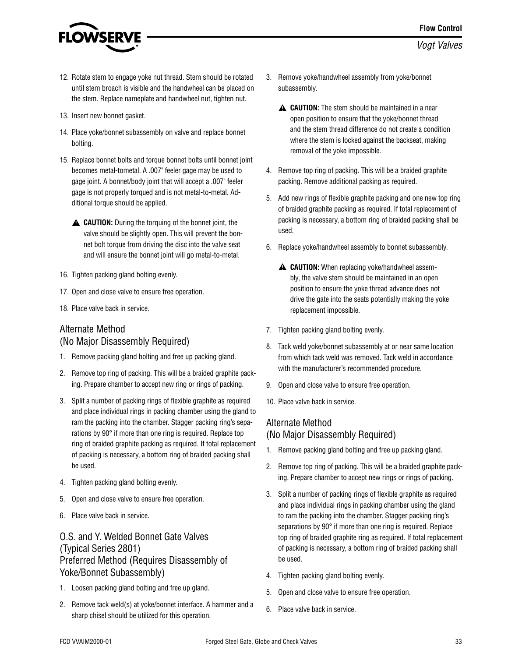

- 12. Rotate stem to engage yoke nut thread. Stem should be rotated until stem broach is visible and the handwheel can be placed on the stem. Replace nameplate and handwheel nut, tighten nut.
- 13. Insert new bonnet gasket.
- 14. Place yoke/bonnet subassembly on valve and replace bonnet bolting.
- 15. Replace bonnet bolts and torque bonnet bolts until bonnet joint becomes metal-tometal. A .007" feeler gage may be used to gage joint. A bonnet/body joint that will accept a .007" feeler gage is not properly torqued and is not metal-to-metal. Additional torque should be applied.
	- **A** CAUTION: During the torquing of the bonnet joint, the valve should be slightly open. This will prevent the bonnet bolt torque from driving the disc into the valve seat and will ensure the bonnet joint will go metal-to-metal.
- 16. Tighten packing gland bolting evenly.
- 17. Open and close valve to ensure free operation.
- 18. Place valve back in service.

#### Alternate Method (No Major Disassembly Required)

- 1. Remove packing gland bolting and free up packing gland.
- 2. Remove top ring of packing. This will be a braided graphite packing. Prepare chamber to accept new ring or rings of packing.
- 3. Split a number of packing rings of flexible graphite as required and place individual rings in packing chamber using the gland to ram the packing into the chamber. Stagger packing ring's separations by 90° if more than one ring is required. Replace top ring of braided graphite packing as required. If total replacement of packing is necessary, a bottom ring of braided packing shall be used.
- 4. Tighten packing gland bolting evenly.
- 5. Open and close valve to ensure free operation.
- 6. Place valve back in service.

#### O.S. and Y. Welded Bonnet Gate Valves (Typical Series 2801) Preferred Method (Requires Disassembly of Yoke/Bonnet Subassembly)

- 1. Loosen packing gland bolting and free up gland.
- 2. Remove tack weld(s) at yoke/bonnet interface. A hammer and a sharp chisel should be utilized for this operation.
- 3. Remove yoke/handwheel assembly from yoke/bonnet subassembly.
	- **A CAUTION:** The stem should be maintained in a near open position to ensure that the yoke/bonnet thread and the stem thread difference do not create a condition where the stem is locked against the backseat, making removal of the yoke impossible.
- 4. Remove top ring of packing. This will be a braided graphite packing. Remove additional packing as required.
- 5. Add new rings of flexible graphite packing and one new top ring of braided graphite packing as required. If total replacement of packing is necessary, a bottom ring of braided packing shall be used.
- 6. Replace yoke/handwheel assembly to bonnet subassembly.
	- **A CAUTION:** When replacing yoke/handwheel assembly, the valve stem should be maintained in an open position to ensure the yoke thread advance does not drive the gate into the seats potentially making the yoke replacement impossible.
- 7. Tighten packing gland bolting evenly.
- 8. Tack weld yoke/bonnet subassembly at or near same location from which tack weld was removed. Tack weld in accordance with the manufacturer's recommended procedure.
- 9. Open and close valve to ensure free operation.
- 10. Place valve back in service.

## Alternate Method

#### (No Major Disassembly Required)

- 1. Remove packing gland bolting and free up packing gland.
- 2. Remove top ring of packing. This will be a braided graphite packing. Prepare chamber to accept new rings or rings of packing.
- 3. Split a number of packing rings of flexible graphite as required and place individual rings in packing chamber using the gland to ram the packing into the chamber. Stagger packing ring's separations by 90° if more than one ring is required. Replace top ring of braided graphite ring as required. If total replacement of packing is necessary, a bottom ring of braided packing shall be used.
- 4. Tighten packing gland bolting evenly.
- 5. Open and close valve to ensure free operation.
- 6. Place valve back in service.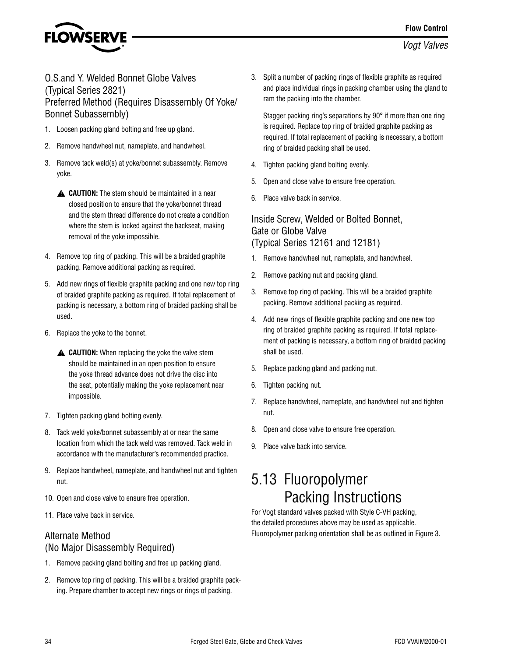#### O.S.and Y. Welded Bonnet Globe Valves (Typical Series 2821) Preferred Method (Requires Disassembly Of Yoke/ Bonnet Subassembly)

- 1. Loosen packing gland bolting and free up gland.
- 2. Remove handwheel nut, nameplate, and handwheel.
- 3. Remove tack weld(s) at yoke/bonnet subassembly. Remove yoke.
	- **A CAUTION:** The stem should be maintained in a near closed position to ensure that the yoke/bonnet thread and the stem thread difference do not create a condition where the stem is locked against the backseat, making removal of the yoke impossible.
- 4. Remove top ring of packing. This will be a braided graphite packing. Remove additional packing as required.
- 5. Add new rings of flexible graphite packing and one new top ring of braided graphite packing as required. If total replacement of packing is necessary, a bottom ring of braided packing shall be used.
- 6. Replace the yoke to the bonnet.
	- **A CAUTION:** When replacing the yoke the valve stem should be maintained in an open position to ensure the yoke thread advance does not drive the disc into the seat, potentially making the yoke replacement near impossible.
- 7. Tighten packing gland bolting evenly.
- 8. Tack weld yoke/bonnet subassembly at or near the same location from which the tack weld was removed. Tack weld in accordance with the manufacturer's recommended practice.
- 9. Replace handwheel, nameplate, and handwheel nut and tighten nut.
- 10. Open and close valve to ensure free operation.
- 11. Place valve back in service.

#### Alternate Method

#### (No Major Disassembly Required)

- 1. Remove packing gland bolting and free up packing gland.
- 2. Remove top ring of packing. This will be a braided graphite packing. Prepare chamber to accept new rings or rings of packing.

3. Split a number of packing rings of flexible graphite as required and place individual rings in packing chamber using the gland to ram the packing into the chamber.

Stagger packing ring's separations by 90° if more than one ring is required. Replace top ring of braided graphite packing as required. If total replacement of packing is necessary, a bottom ring of braided packing shall be used.

- 4. Tighten packing gland bolting evenly.
- 5. Open and close valve to ensure free operation.
- 6. Place valve back in service.

#### Inside Screw, Welded or Bolted Bonnet, Gate or Globe Valve (Typical Series 12161 and 12181)

- 1. Remove handwheel nut, nameplate, and handwheel.
- 2. Remove packing nut and packing gland.
- 3. Remove top ring of packing. This will be a braided graphite packing. Remove additional packing as required.
- 4. Add new rings of flexible graphite packing and one new top ring of braided graphite packing as required. If total replacement of packing is necessary, a bottom ring of braided packing shall be used.
- 5. Replace packing gland and packing nut.
- 6. Tighten packing nut.
- 7. Replace handwheel, nameplate, and handwheel nut and tighten nut.
- 8. Open and close valve to ensure free operation.
- 9. Place valve back into service.

## 5.13 Fluoropolymer Packing Instructions

For Vogt standard valves packed with Style C-VH packing, the detailed procedures above may be used as applicable. Fluoropolymer packing orientation shall be as outlined in Figure 3.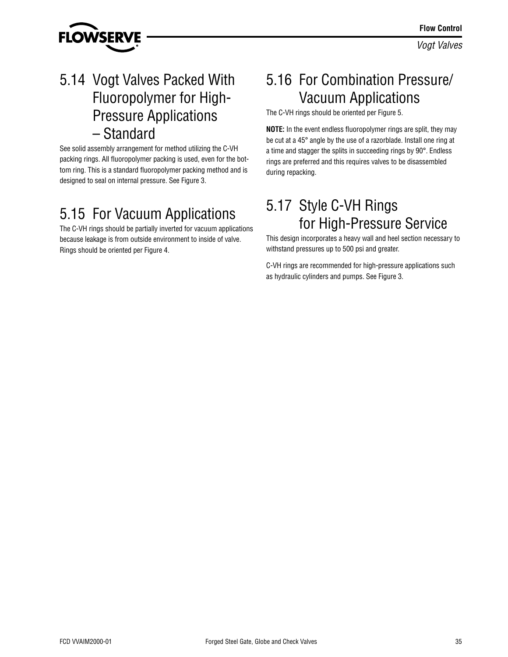



## 5.14 Vogt Valves Packed With Fluoropolymer for High-Pressure Applications – Standard

See solid assembly arrangement for method utilizing the C-VH packing rings. All fluoropolymer packing is used, even for the bottom ring. This is a standard fluoropolymer packing method and is designed to seal on internal pressure. See Figure 3.

## 5.15 For Vacuum Applications

The C-VH rings should be partially inverted for vacuum applications because leakage is from outside environment to inside of valve. Rings should be oriented per Figure 4.

## 5.16 For Combination Pressure/ Vacuum Applications

The C-VH rings should be oriented per Figure 5.

**NOTE:** In the event endless fluoropolymer rings are split, they may be cut at a 45° angle by the use of a razorblade. Install one ring at a time and stagger the splits in succeeding rings by 90°. Endless rings are preferred and this requires valves to be disassembled during repacking.

## 5.17 Style C-VH Rings for High-Pressure Service

This design incorporates a heavy wall and heel section necessary to withstand pressures up to 500 psi and greater.

C-VH rings are recommended for high-pressure applications such as hydraulic cylinders and pumps. See Figure 3.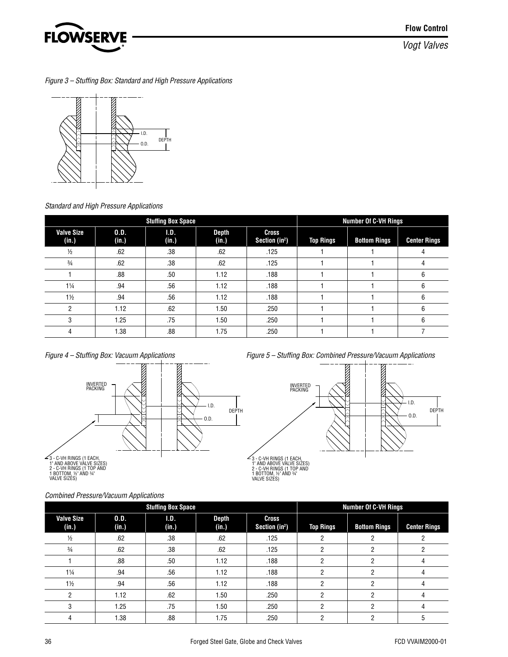

**Flow Control**

*Vogt Valves*

*Figure 3 – Stuffing Box: Standard and High Pressure Applications*



#### *Standard and High Pressure Applications*

| <b>Stuffing Box Space</b>  |               |               |                |                                            |                  | <b>Number Of C-VH Rings</b> |                     |
|----------------------------|---------------|---------------|----------------|--------------------------------------------|------------------|-----------------------------|---------------------|
| <b>Valve Size</b><br>(in.) | 0.D.<br>(in.) | I.D.<br>(in.) | Depth<br>(in.) | <b>Cross</b><br>Section (in <sup>2</sup> ) | <b>Top Rings</b> | <b>Bottom Rings</b>         | <b>Center Rings</b> |
| $\frac{1}{2}$              | .62           | .38           | .62            | .125                                       |                  |                             |                     |
| $\frac{3}{4}$              | .62           | .38           | .62            | .125                                       |                  |                             | 4                   |
|                            | .88           | .50           | 1.12           | .188                                       |                  |                             | 6                   |
| $1\frac{1}{4}$             | .94           | .56           | 1.12           | .188                                       |                  |                             | 6                   |
| $1\frac{1}{2}$             | .94           | .56           | 1.12           | .188                                       |                  |                             | 6                   |
| 2                          | 1.12          | .62           | 1.50           | .250                                       |                  |                             | 6                   |
| 3                          | 1.25          | .75           | 1.50           | .250                                       |                  |                             | 6                   |
| 4                          | 1.38          | .88           | 1.75           | .250                                       |                  |                             |                     |









#### *Combined Pressure/Vacuum Applications*

| <b>Stuffing Box Space</b>  |               |               |                       |                                            | <b>Number Of C-VH Rings</b> |                     |                     |
|----------------------------|---------------|---------------|-----------------------|--------------------------------------------|-----------------------------|---------------------|---------------------|
| <b>Valve Size</b><br>(in.) | 0.D.<br>(in.) | I.D.<br>(in.) | <b>Depth</b><br>(in.) | <b>Cross</b><br>Section (in <sup>2</sup> ) | <b>Top Rings</b>            | <b>Bottom Rings</b> | <b>Center Rings</b> |
| $\frac{1}{2}$              | .62           | .38           | .62                   | .125                                       |                             | 2                   |                     |
| $\frac{3}{4}$              | .62           | .38           | .62                   | .125                                       | n                           | $\overline{2}$      | 2                   |
|                            | .88           | .50           | 1.12                  | .188                                       | c                           | 2                   | 4                   |
| $1\frac{1}{4}$             | .94           | .56           | 1.12                  | .188                                       | n                           | 2                   | 4                   |
| $1\frac{1}{2}$             | .94           | .56           | 1.12                  | .188                                       | n                           | 2                   |                     |
| 2                          | 1.12          | .62           | 1.50                  | .250                                       | C                           | 2                   | 4                   |
| 3                          | 1.25          | .75           | 1.50                  | .250                                       | C                           | 2                   | 4                   |
|                            | 1.38          | .88           | 1.75                  | .250                                       | C                           | 2                   | 5                   |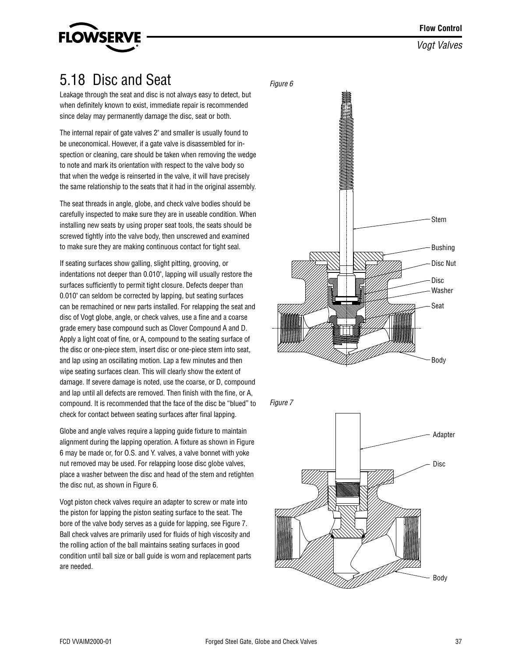



## 5.18 Disc and Seat

Leakage through the seat and disc is not always easy to detect, but when definitely known to exist, immediate repair is recommended since delay may permanently damage the disc, seat or both.

The internal repair of gate valves 2" and smaller is usually found to be uneconomical. However, if a gate valve is disassembled for inspection or cleaning, care should be taken when removing the wedge to note and mark its orientation with respect to the valve body so that when the wedge is reinserted in the valve, it will have precisely the same relationship to the seats that it had in the original assembly.

The seat threads in angle, globe, and check valve bodies should be carefully inspected to make sure they are in useable condition. When installing new seats by using proper seat tools, the seats should be screwed tightly into the valve body, then unscrewed and examined to make sure they are making continuous contact for tight seal.

If seating surfaces show galling, slight pitting, grooving, or indentations not deeper than 0.010", lapping will usually restore the surfaces sufficiently to permit tight closure. Defects deeper than 0.010" can seldom be corrected by lapping, but seating surfaces can be remachined or new parts installed. For relapping the seat and disc of Vogt globe, angle, or check valves, use a fine and a coarse grade emery base compound such as Clover Compound A and D. Apply a light coat of fine, or A, compound to the seating surface of the disc or one-piece stem, insert disc or one-piece stem into seat, and lap using an oscillating motion. Lap a few minutes and then wipe seating surfaces clean. This will clearly show the extent of damage. If severe damage is noted, use the coarse, or D, compound and lap until all defects are removed. Then finish with the fine, or A, compound. It is recommended that the face of the disc be "blued" to check for contact between seating surfaces after final lapping.

Globe and angle valves require a lapping guide fixture to maintain alignment during the lapping operation. A fixture as shown in Figure 6 may be made or, for O.S. and Y. valves, a valve bonnet with yoke nut removed may be used. For relapping loose disc globe valves, place a washer between the disc and head of the stem and retighten the disc nut, as shown in Figure 6.

Vogt piston check valves require an adapter to screw or mate into the piston for lapping the piston seating surface to the seat. The bore of the valve body serves as a guide for lapping, see Figure 7. Ball check valves are primarily used for fluids of high viscosity and the rolling action of the ball maintains seating surfaces in good condition until ball size or ball guide is worn and replacement parts are needed.





*Figure 7*

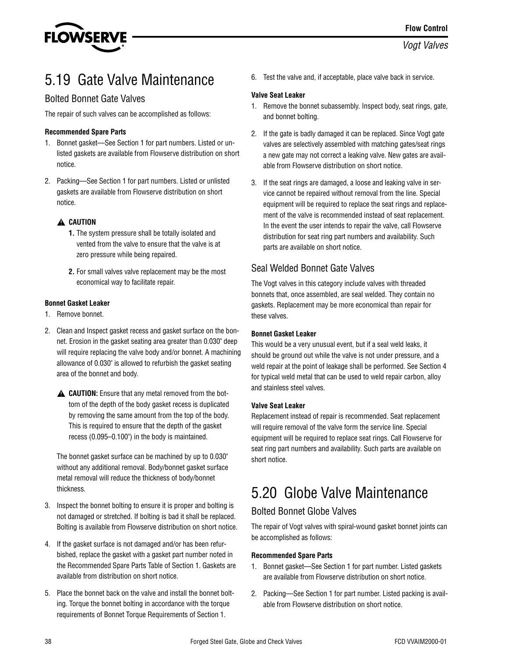

## 5.19 Gate Valve Maintenance

#### Bolted Bonnet Gate Valves

The repair of such valves can be accomplished as follows:

#### **Recommended Spare Parts**

- 1. Bonnet gasket—See Section 1 for part numbers. Listed or unlisted gaskets are available from Flowserve distribution on short notice.
- 2. Packing—See Section 1 for part numbers. Listed or unlisted gaskets are available from Flowserve distribution on short notice.

#### **A** CAUTION

- **1.** The system pressure shall be totally isolated and vented from the valve to ensure that the valve is at zero pressure while being repaired.
- **2.** For small valves valve replacement may be the most economical way to facilitate repair.

#### **Bonnet Gasket Leaker**

- 1. Remove bonnet.
- 2. Clean and Inspect gasket recess and gasket surface on the bonnet. Erosion in the gasket seating area greater than 0.030" deep will require replacing the valve body and/or bonnet. A machining allowance of 0.030" is allowed to refurbish the gasket seating area of the bonnet and body.
	- **A CAUTION:** Ensure that any metal removed from the bottom of the depth of the body gasket recess is duplicated by removing the same amount from the top of the body. This is required to ensure that the depth of the gasket recess (0.095–0.100") in the body is maintained.

The bonnet gasket surface can be machined by up to 0.030" without any additional removal. Body/bonnet gasket surface metal removal will reduce the thickness of body/bonnet thickness.

- 3. Inspect the bonnet bolting to ensure it is proper and bolting is not damaged or stretched. If bolting is bad it shall be replaced. Bolting is available from Flowserve distribution on short notice.
- 4. If the gasket surface is not damaged and/or has been refurbished, replace the gasket with a gasket part number noted in the Recommended Spare Parts Table of Section 1. Gaskets are available from distribution on short notice.
- 5. Place the bonnet back on the valve and install the bonnet bolting. Torque the bonnet bolting in accordance with the torque requirements of Bonnet Torque Requirements of Section 1.

6. Test the valve and, if acceptable, place valve back in service.

#### **Valve Seat Leaker**

- 1. Remove the bonnet subassembly. Inspect body, seat rings, gate, and bonnet bolting.
- 2. If the gate is badly damaged it can be replaced. Since Vogt gate valves are selectively assembled with matching gates/seat rings a new gate may not correct a leaking valve. New gates are available from Flowserve distribution on short notice.
- 3. If the seat rings are damaged, a loose and leaking valve in service cannot be repaired without removal from the line. Special equipment will be required to replace the seat rings and replacement of the valve is recommended instead of seat replacement. In the event the user intends to repair the valve, call Flowserve distribution for seat ring part numbers and availability. Such parts are available on short notice.

#### Seal Welded Bonnet Gate Valves

The Vogt valves in this category include valves with threaded bonnets that, once assembled, are seal welded. They contain no gaskets. Replacement may be more economical than repair for these valves.

#### **Bonnet Gasket Leaker**

This would be a very unusual event, but if a seal weld leaks, it should be ground out while the valve is not under pressure, and a weld repair at the point of leakage shall be performed. See Section 4 for typical weld metal that can be used to weld repair carbon, alloy and stainless steel valves.

#### **Valve Seat Leaker**

Replacement instead of repair is recommended. Seat replacement will require removal of the valve form the service line. Special equipment will be required to replace seat rings. Call Flowserve for seat ring part numbers and availability. Such parts are available on short notice.

## 5.20 Globe Valve Maintenance

#### Bolted Bonnet Globe Valves

The repair of Vogt valves with spiral-wound gasket bonnet joints can be accomplished as follows:

#### **Recommended Spare Parts**

- 1. Bonnet gasket—See Section 1 for part number. Listed gaskets are available from Flowserve distribution on short notice.
- 2. Packing—See Section 1 for part number. Listed packing is available from Flowserve distribution on short notice.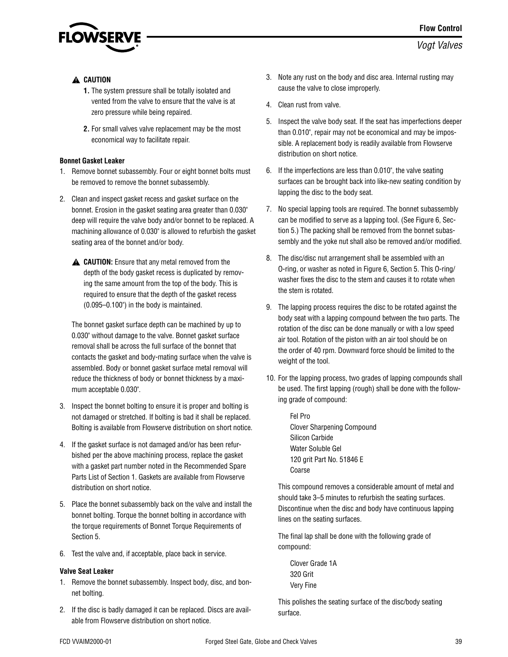

#### **A** CAUTION

- **1.** The system pressure shall be totally isolated and vented from the valve to ensure that the valve is at zero pressure while being repaired.
- **2.** For small valves valve replacement may be the most economical way to facilitate repair.

#### **Bonnet Gasket Leaker**

- 1. Remove bonnet subassembly. Four or eight bonnet bolts must be removed to remove the bonnet subassembly.
- 2. Clean and inspect gasket recess and gasket surface on the bonnet. Erosion in the gasket seating area greater than 0.030" deep will require the valve body and/or bonnet to be replaced. A machining allowance of 0.030" is allowed to refurbish the gasket seating area of the bonnet and/or body.
	- **A CAUTION:** Ensure that any metal removed from the depth of the body gasket recess is duplicated by removing the same amount from the top of the body. This is required to ensure that the depth of the gasket recess (0.095–0.100") in the body is maintained.

The bonnet gasket surface depth can be machined by up to 0.030" without damage to the valve. Bonnet gasket surface removal shall be across the full surface of the bonnet that contacts the gasket and body-mating surface when the valve is assembled. Body or bonnet gasket surface metal removal will reduce the thickness of body or bonnet thickness by a maximum acceptable 0.030".

- 3. Inspect the bonnet bolting to ensure it is proper and bolting is not damaged or stretched. If bolting is bad it shall be replaced. Bolting is available from Flowserve distribution on short notice.
- 4. If the gasket surface is not damaged and/or has been refurbished per the above machining process, replace the gasket with a gasket part number noted in the Recommended Spare Parts List of Section 1. Gaskets are available from Flowserve distribution on short notice.
- 5. Place the bonnet subassembly back on the valve and install the bonnet bolting. Torque the bonnet bolting in accordance with the torque requirements of Bonnet Torque Requirements of Section 5.
- 6. Test the valve and, if acceptable, place back in service.

#### **Valve Seat Leaker**

- 1. Remove the bonnet subassembly. Inspect body, disc, and bonnet bolting.
- 2. If the disc is badly damaged it can be replaced. Discs are available from Flowserve distribution on short notice.
- 3. Note any rust on the body and disc area. Internal rusting may cause the valve to close improperly.
- 4. Clean rust from valve.
- 5. Inspect the valve body seat. If the seat has imperfections deeper than 0.010", repair may not be economical and may be impossible. A replacement body is readily available from Flowserve distribution on short notice.
- 6. If the imperfections are less than 0.010", the valve seating surfaces can be brought back into like-new seating condition by lapping the disc to the body seat.
- 7. No special lapping tools are required. The bonnet subassembly can be modified to serve as a lapping tool. (See Figure 6, Section 5.) The packing shall be removed from the bonnet subassembly and the yoke nut shall also be removed and/or modified.
- 8. The disc/disc nut arrangement shall be assembled with an O-ring, or washer as noted in Figure 6, Section 5. This O-ring/ washer fixes the disc to the stem and causes it to rotate when the stem is rotated.
- 9. The lapping process requires the disc to be rotated against the body seat with a lapping compound between the two parts. The rotation of the disc can be done manually or with a low speed air tool. Rotation of the piston with an air tool should be on the order of 40 rpm. Downward force should be limited to the weight of the tool.
- 10. For the lapping process, two grades of lapping compounds shall be used. The first lapping (rough) shall be done with the following grade of compound:
	- Fel Pro Clover Sharpening Compound Silicon Carbide Water Soluble Gel 120 grit Part No. 51846 E Coarse

This compound removes a considerable amount of metal and should take 3–5 minutes to refurbish the seating surfaces. Discontinue when the disc and body have continuous lapping lines on the seating surfaces.

The final lap shall be done with the following grade of compound:

Clover Grade 1A 320 Grit Very Fine

This polishes the seating surface of the disc/body seating surface.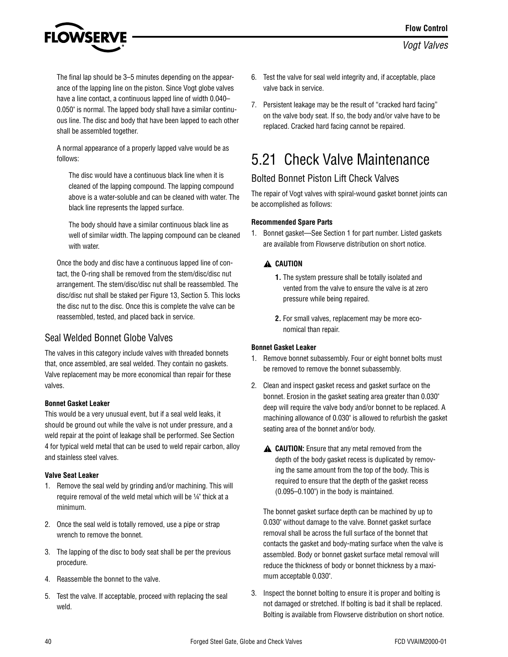The final lap should be 3–5 minutes depending on the appearance of the lapping line on the piston. Since Vogt globe valves have a line contact, a continuous lapped line of width 0.040-0.050" is normal. The lapped body shall have a similar continuous line. The disc and body that have been lapped to each other shall be assembled together.

A normal appearance of a properly lapped valve would be as follows:

The disc would have a continuous black line when it is cleaned of the lapping compound. The lapping compound above is a water-soluble and can be cleaned with water. The black line represents the lapped surface.

The body should have a similar continuous black line as well of similar width. The lapping compound can be cleaned with water.

Once the body and disc have a continuous lapped line of contact, the O-ring shall be removed from the stem/disc/disc nut arrangement. The stem/disc/disc nut shall be reassembled. The disc/disc nut shall be staked per Figure 13, Section 5. This locks the disc nut to the disc. Once this is complete the valve can be reassembled, tested, and placed back in service.

#### Seal Welded Bonnet Globe Valves

The valves in this category include valves with threaded bonnets that, once assembled, are seal welded. They contain no gaskets. Valve replacement may be more economical than repair for these valves.

#### **Bonnet Gasket Leaker**

This would be a very unusual event, but if a seal weld leaks, it should be ground out while the valve is not under pressure, and a weld repair at the point of leakage shall be performed. See Section 4 for typical weld metal that can be used to weld repair carbon, alloy and stainless steel valves.

#### **Valve Seat Leaker**

- 1. Remove the seal weld by grinding and/or machining. This will require removal of the weld metal which will be 1/4" thick at a minimum.
- 2. Once the seal weld is totally removed, use a pipe or strap wrench to remove the bonnet.
- 3. The lapping of the disc to body seat shall be per the previous procedure.
- 4. Reassemble the bonnet to the valve.
- 5. Test the valve. If acceptable, proceed with replacing the seal weld.
- 6. Test the valve for seal weld integrity and, if acceptable, place valve back in service.
- 7. Persistent leakage may be the result of "cracked hard facing" on the valve body seat. If so, the body and/or valve have to be replaced. Cracked hard facing cannot be repaired.

## 5.21 Check Valve Maintenance

#### Bolted Bonnet Piston Lift Check Valves

The repair of Vogt valves with spiral-wound gasket bonnet joints can be accomplished as follows:

#### **Recommended Spare Parts**

1. Bonnet gasket—See Section 1 for part number. Listed gaskets are available from Flowserve distribution on short notice.

#### a **CAUTION**

- **1.** The system pressure shall be totally isolated and vented from the valve to ensure the valve is at zero pressure while being repaired.
- **2.** For small valves, replacement may be more economical than repair.

#### **Bonnet Gasket Leaker**

- 1. Remove bonnet subassembly. Four or eight bonnet bolts must be removed to remove the bonnet subassembly.
- 2. Clean and inspect gasket recess and gasket surface on the bonnet. Erosion in the gasket seating area greater than 0.030" deep will require the valve body and/or bonnet to be replaced. A machining allowance of 0.030" is allowed to refurbish the gasket seating area of the bonnet and/or body.
	- **A CAUTION:** Ensure that any metal removed from the depth of the body gasket recess is duplicated by removing the same amount from the top of the body. This is required to ensure that the depth of the gasket recess (0.095–0.100") in the body is maintained.

The bonnet gasket surface depth can be machined by up to 0.030" without damage to the valve. Bonnet gasket surface removal shall be across the full surface of the bonnet that contacts the gasket and body-mating surface when the valve is assembled. Body or bonnet gasket surface metal removal will reduce the thickness of body or bonnet thickness by a maximum acceptable 0.030".

3. Inspect the bonnet bolting to ensure it is proper and bolting is not damaged or stretched. If bolting is bad it shall be replaced. Bolting is available from Flowserve distribution on short notice.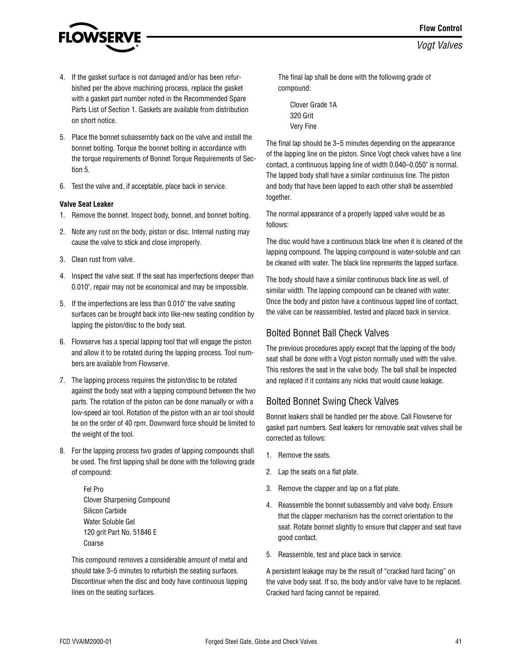

- 4. If the gasket surface is not damaged and/or has been refurbished per the above machining process, replace the gasket with a gasket part number noted in the Recommended Spare Parts List of Section 1. Gaskets are available from distribution on short notice.
- 5. Place the bonnet subassembly back on the valve and install the bonnet bolting. Torque the bonnet bolting in accordance with the torque requirements of Bonnet Torque Requirements of Section 5.
- 6. Test the valve and, if acceptable, place back in service.

#### **Valve Seat Leaker**

- 1. Remove the bonnet. Inspect body, bonnet, and bonnet bolting.
- 2. Note any rust on the body, piston or disc. Internal rusting may cause the valve to stick and close improperly.
- 3. Clean rust from valve.
- 4. Inspect the valve seat. If the seat has imperfections deeper than 0.010", repair may not be economical and may be impossible.
- 5. If the imperfections are less than 0.010" the valve seating surfaces can be brought back into like-new seating condition by lapping the piston/disc to the body seat.
- 6. Flowserve has a special lapping tool that will engage the piston and allow it to be rotated during the lapping process. Tool numbers are available from Flowserve.
- 7. The lapping process requires the piston/disc to be rotated against the body seat with a lapping compound between the two parts. The rotation of the piston can be done manually or with a low-speed air tool. Rotation of the piston with an air tool should be on the order of 40 rpm. Downward force should be limited to the weight of the tool.
- 8. For the lapping process two grades of lapping compounds shall be used. The first lapping shall be done with the following grade of compound:

Fel Pro Clover Sharpening Compound Silicon Carbide Water Soluble Gel 120 grit Part No. 51846 E Coarse

This compound removes a considerable amount of metal and should take 3–5 minutes to refurbish the seating surfaces. Discontinue when the disc and body have continuous lapping lines on the seating surfaces.

The final lap shall be done with the following grade of compound:

Clover Grade 1A 320 Grit Very Fine

The final lap should be 3–5 minutes depending on the appearance of the lapping line on the piston. Since Vogt check valves have a line contact, a continuous lapping line of width 0.040–0.050" is normal. The lapped body shall have a similar continuous line. The piston and body that have been lapped to each other shall be assembled together.

The normal appearance of a properly lapped valve would be as follows:

The disc would have a continuous black line when it is cleaned of the lapping compound. The lapping compound is water-soluble and can be cleaned with water. The black line represents the lapped surface.

The body should have a similar continuous black line as well, of similar width. The lapping compound can be cleaned with water. Once the body and piston have a continuous lapped line of contact, the valve can be reassembled, tested and placed back in service.

#### Bolted Bonnet Ball Check Valves

The previous procedures apply except that the lapping of the body seat shall be done with a Vogt piston normally used with the valve. This restores the seat in the valve body. The ball shall be inspected and replaced if it contains any nicks that would cause leakage.

#### Bolted Bonnet Swing Check Valves

Bonnet leakers shall be handled per the above. Call Flowserve for gasket part numbers. Seat leakers for removable seat valves shall be corrected as follows:

- 1. Remove the seats.
- 2. Lap the seats on a flat plate.
- 3. Remove the clapper and lap on a flat plate.
- 4. Reassemble the bonnet subassembly and valve body. Ensure that the clapper mechanism has the correct orientation to the seat. Rotate bonnet slightly to ensure that clapper and seat have good contact.
- 5. Reassemble, test and place back in service.

A persistent leakage may be the result of "cracked hard facing" on the valve body seat. If so, the body and/or valve have to be replaced. Cracked hard facing cannot be repaired.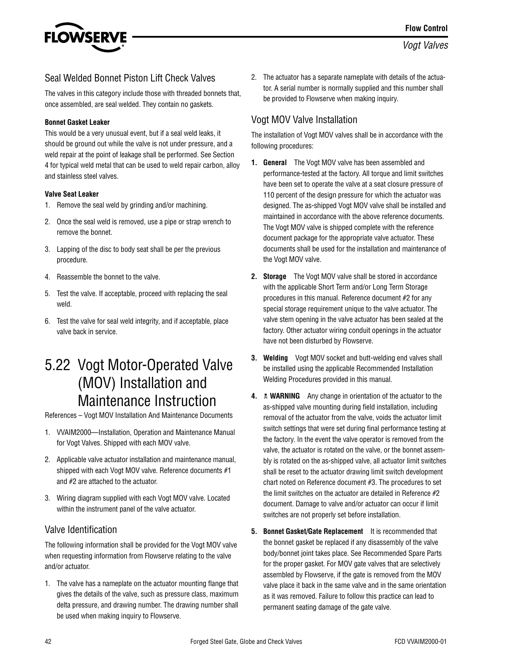

#### Seal Welded Bonnet Piston Lift Check Valves

The valves in this category include those with threaded bonnets that, once assembled, are seal welded. They contain no gaskets.

#### **Bonnet Gasket Leaker**

**FLOWSER** 

This would be a very unusual event, but if a seal weld leaks, it should be ground out while the valve is not under pressure, and a weld repair at the point of leakage shall be performed. See Section 4 for typical weld metal that can be used to weld repair carbon, alloy and stainless steel valves.

#### **Valve Seat Leaker**

- 1. Remove the seal weld by grinding and/or machining.
- 2. Once the seal weld is removed, use a pipe or strap wrench to remove the bonnet.
- 3. Lapping of the disc to body seat shall be per the previous procedure.
- 4. Reassemble the bonnet to the valve.
- 5. Test the valve. If acceptable, proceed with replacing the seal weld.
- 6. Test the valve for seal weld integrity, and if acceptable, place valve back in service.

## 5.22 Vogt Motor-Operated Valve (MOV) Installation and Maintenance Instruction

References – Vogt MOV Installation And Maintenance Documents

- 1. VVAIM2000—Installation, Operation and Maintenance Manual for Vogt Valves. Shipped with each MOV valve.
- 2. Applicable valve actuator installation and maintenance manual, shipped with each Vogt MOV valve. Reference documents #1 and #2 are attached to the actuator.
- 3. Wiring diagram supplied with each Vogt MOV valve. Located within the instrument panel of the valve actuator.

#### Valve Identification

The following information shall be provided for the Vogt MOV valve when requesting information from Flowserve relating to the valve and/or actuator.

1. The valve has a nameplate on the actuator mounting flange that gives the details of the valve, such as pressure class, maximum delta pressure, and drawing number. The drawing number shall be used when making inquiry to Flowserve.

2. The actuator has a separate nameplate with details of the actuator. A serial number is normally supplied and this number shall be provided to Flowserve when making inquiry.

#### Vogt MOV Valve Installation

The installation of Vogt MOV valves shall be in accordance with the following procedures:

- **1. General** The Vogt MOV valve has been assembled and performance-tested at the factory. All torque and limit switches have been set to operate the valve at a seat closure pressure of 110 percent of the design pressure for which the actuator was designed. The as-shipped Vogt MOV valve shall be installed and maintained in accordance with the above reference documents. The Vogt MOV valve is shipped complete with the reference document package for the appropriate valve actuator. These documents shall be used for the installation and maintenance of the Vogt MOV valve.
- **2. Storage** The Vogt MOV valve shall be stored in accordance with the applicable Short Term and/or Long Term Storage procedures in this manual. Reference document #2 for any special storage requirement unique to the valve actuator. The valve stem opening in the valve actuator has been sealed at the factory. Other actuator wiring conduit openings in the actuator have not been disturbed by Flowserve.
- **3. Welding** Vogt MOV socket and butt-welding end valves shall be installed using the applicable Recommended Installation Welding Procedures provided in this manual.
- **4.**  $\&$  **WARNING** Any change in orientation of the actuator to the as-shipped valve mounting during field installation, including removal of the actuator from the valve, voids the actuator limit switch settings that were set during final performance testing at the factory. In the event the valve operator is removed from the valve, the actuator is rotated on the valve, or the bonnet assembly is rotated on the as-shipped valve, all actuator limit switches shall be reset to the actuator drawing limit switch development chart noted on Reference document #3. The procedures to set the limit switches on the actuator are detailed in Reference #2 document. Damage to valve and/or actuator can occur if limit switches are not properly set before installation.
- **5. Bonnet Gasket/Gate Replacement** It is recommended that the bonnet gasket be replaced if any disassembly of the valve body/bonnet joint takes place. See Recommended Spare Parts for the proper gasket. For MOV gate valves that are selectively assembled by Flowserve, if the gate is removed from the MOV valve place it back in the same valve and in the same orientation as it was removed. Failure to follow this practice can lead to permanent seating damage of the gate valve.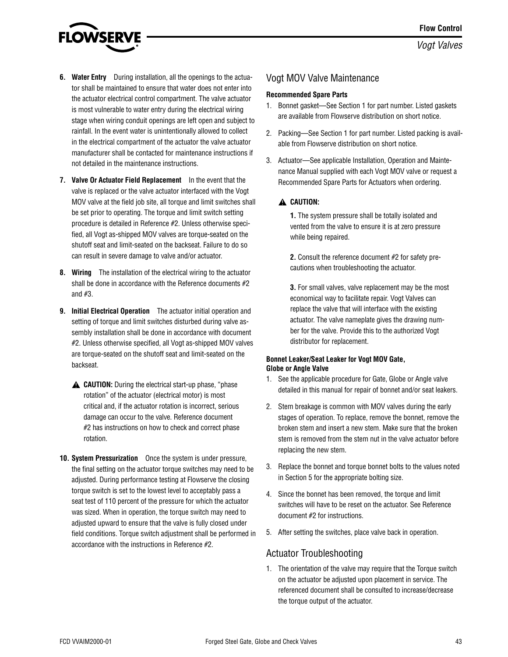

- **6. Water Entry** During installation, all the openings to the actuator shall be maintained to ensure that water does not enter into the actuator electrical control compartment. The valve actuator is most vulnerable to water entry during the electrical wiring stage when wiring conduit openings are left open and subject to rainfall. In the event water is unintentionally allowed to collect in the electrical compartment of the actuator the valve actuator manufacturer shall be contacted for maintenance instructions if not detailed in the maintenance instructions.
- **7. Valve Or Actuator Field Replacement** In the event that the valve is replaced or the valve actuator interfaced with the Vogt MOV valve at the field job site, all torque and limit switches shall be set prior to operating. The torque and limit switch setting procedure is detailed in Reference #2. Unless otherwise specified, all Vogt as-shipped MOV valves are torque-seated on the shutoff seat and limit-seated on the backseat. Failure to do so can result in severe damage to valve and/or actuator.
- **8. Wiring** The installation of the electrical wiring to the actuator shall be done in accordance with the Reference documents #2 and  $#3$ .
- **9. Initial Electrical Operation** The actuator initial operation and setting of torque and limit switches disturbed during valve assembly installation shall be done in accordance with document #2. Unless otherwise specified, all Vogt as-shipped MOV valves are torque-seated on the shutoff seat and limit-seated on the backseat.
	- **A CAUTION:** During the electrical start-up phase, "phase rotation" of the actuator (electrical motor) is most critical and, if the actuator rotation is incorrect, serious damage can occur to the valve. Reference document #2 has instructions on how to check and correct phase rotation.
- **10. System Pressurization** Once the system is under pressure, the final setting on the actuator torque switches may need to be adjusted. During performance testing at Flowserve the closing torque switch is set to the lowest level to acceptably pass a seat test of 110 percent of the pressure for which the actuator was sized. When in operation, the torque switch may need to adjusted upward to ensure that the valve is fully closed under field conditions. Torque switch adjustment shall be performed in accordance with the instructions in Reference #2.

#### Vogt MOV Valve Maintenance

#### **Recommended Spare Parts**

- 1. Bonnet gasket—See Section 1 for part number. Listed gaskets are available from Flowserve distribution on short notice.
- 2. Packing—See Section 1 for part number. Listed packing is available from Flowserve distribution on short notice.
- 3. Actuator—See applicable Installation, Operation and Maintenance Manual supplied with each Vogt MOV valve or request a Recommended Spare Parts for Actuators when ordering.

#### a **CAUTION:**

- **1.** The system pressure shall be totally isolated and vented from the valve to ensure it is at zero pressure while being repaired.
- **2.** Consult the reference document #2 for safety precautions when troubleshooting the actuator.

**3.** For small valves, valve replacement may be the most economical way to facilitate repair. Vogt Valves can replace the valve that will interface with the existing actuator. The valve nameplate gives the drawing number for the valve. Provide this to the authorized Vogt distributor for replacement.

#### **Bonnet Leaker/Seat Leaker for Vogt MOV Gate, Globe or Angle Valve**

- 1. See the applicable procedure for Gate, Globe or Angle valve detailed in this manual for repair of bonnet and/or seat leakers.
- 2. Stem breakage is common with MOV valves during the early stages of operation. To replace, remove the bonnet, remove the broken stem and insert a new stem. Make sure that the broken stem is removed from the stem nut in the valve actuator before replacing the new stem.
- 3. Replace the bonnet and torque bonnet bolts to the values noted in Section 5 for the appropriate bolting size.
- 4. Since the bonnet has been removed, the torque and limit switches will have to be reset on the actuator. See Reference document #2 for instructions.
- 5. After setting the switches, place valve back in operation.

#### Actuator Troubleshooting

1. The orientation of the valve may require that the Torque switch on the actuator be adjusted upon placement in service. The referenced document shall be consulted to increase/decrease the torque output of the actuator.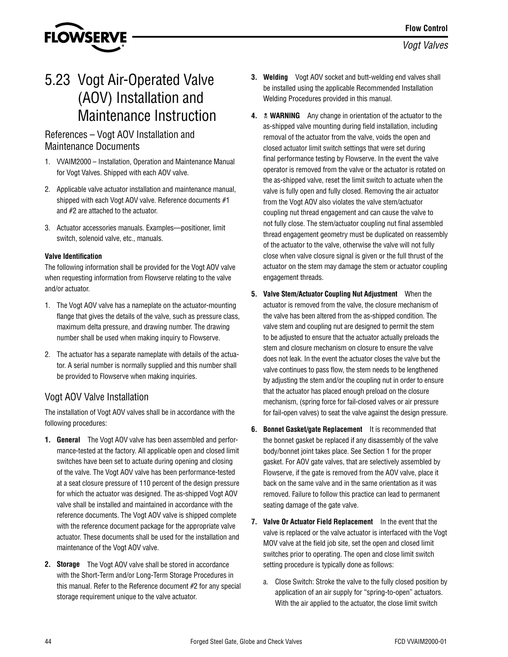## **FLOWSERVE**

## 5.23 Vogt Air-Operated Valve (AOV) Installation and Maintenance Instruction

#### References – Vogt AOV Installation and Maintenance Documents

- 1. VVAIM2000 Installation, Operation and Maintenance Manual for Vogt Valves. Shipped with each AOV valve.
- 2. Applicable valve actuator installation and maintenance manual, shipped with each Vogt AOV valve. Reference documents #1 and #2 are attached to the actuator.
- 3. Actuator accessories manuals. Examples—positioner, limit switch, solenoid valve, etc., manuals.

#### **Valve Identification**

The following information shall be provided for the Vogt AOV valve when requesting information from Flowserve relating to the valve and/or actuator.

- 1. The Vogt AOV valve has a nameplate on the actuator-mounting flange that gives the details of the valve, such as pressure class, maximum delta pressure, and drawing number. The drawing number shall be used when making inquiry to Flowserve.
- 2. The actuator has a separate nameplate with details of the actuator. A serial number is normally supplied and this number shall be provided to Flowserve when making inquiries.

#### Vogt AOV Valve Installation

The installation of Vogt AOV valves shall be in accordance with the following procedures:

- **1. General** The Vogt AOV valve has been assembled and performance-tested at the factory. All applicable open and closed limit switches have been set to actuate during opening and closing of the valve. The Vogt AOV valve has been performance-tested at a seat closure pressure of 110 percent of the design pressure for which the actuator was designed. The as-shipped Vogt AOV valve shall be installed and maintained in accordance with the reference documents. The Vogt AOV valve is shipped complete with the reference document package for the appropriate valve actuator. These documents shall be used for the installation and maintenance of the Vogt AOV valve.
- **2. Storage** The Vogt AOV valve shall be stored in accordance with the Short-Term and/or Long-Term Storage Procedures in this manual. Refer to the Reference document #2 for any special storage requirement unique to the valve actuator.
- **3. Welding** Vogt AOV socket and butt-welding end valves shall be installed using the applicable Recommended Installation Welding Procedures provided in this manual.
- **4.**  $\&$  **WARNING** Any change in orientation of the actuator to the as-shipped valve mounting during field installation, including removal of the actuator from the valve, voids the open and closed actuator limit switch settings that were set during final performance testing by Flowserve. In the event the valve operator is removed from the valve or the actuator is rotated on the as-shipped valve, reset the limit switch to actuate when the valve is fully open and fully closed. Removing the air actuator from the Vogt AOV also violates the valve stem/actuator coupling nut thread engagement and can cause the valve to not fully close. The stem/actuator coupling nut final assembled thread engagement geometry must be duplicated on reassembly of the actuator to the valve, otherwise the valve will not fully close when valve closure signal is given or the full thrust of the actuator on the stem may damage the stem or actuator coupling engagement threads.
- **5. Valve Stem/Actuator Coupling Nut Adjustment** When the actuator is removed from the valve, the closure mechanism of the valve has been altered from the as-shipped condition. The valve stem and coupling nut are designed to permit the stem to be adjusted to ensure that the actuator actually preloads the stem and closure mechanism on closure to ensure the valve does not leak. In the event the actuator closes the valve but the valve continues to pass flow, the stem needs to be lengthened by adjusting the stem and/or the coupling nut in order to ensure that the actuator has placed enough preload on the closure mechanism, (spring force for fail-closed valves or air pressure for fail-open valves) to seat the valve against the design pressure.
- **6. Bonnet Gasket/gate Replacement** It is recommended that the bonnet gasket be replaced if any disassembly of the valve body/bonnet joint takes place. See Section 1 for the proper gasket. For AOV gate valves, that are selectively assembled by Flowserve, if the gate is removed from the AOV valve, place it back on the same valve and in the same orientation as it was removed. Failure to follow this practice can lead to permanent seating damage of the gate valve.
- **7. Valve Or Actuator Field Replacement** In the event that the valve is replaced or the valve actuator is interfaced with the Vogt MOV valve at the field job site, set the open and closed limit switches prior to operating. The open and close limit switch setting procedure is typically done as follows:
	- a. Close Switch: Stroke the valve to the fully closed position by application of an air supply for "spring-to-open" actuators. With the air applied to the actuator, the close limit switch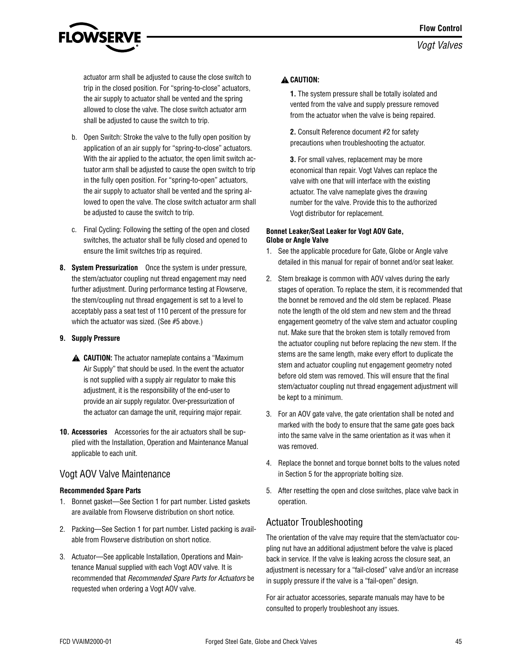actuator arm shall be adjusted to cause the close switch to trip in the closed position. For "spring-to-close" actuators, the air supply to actuator shall be vented and the spring allowed to close the valve. The close switch actuator arm shall be adjusted to cause the switch to trip.

- b. Open Switch: Stroke the valve to the fully open position by application of an air supply for "spring-to-close" actuators. With the air applied to the actuator, the open limit switch actuator arm shall be adjusted to cause the open switch to trip in the fully open position. For "spring-to-open" actuators, the air supply to actuator shall be vented and the spring allowed to open the valve. The close switch actuator arm shall be adjusted to cause the switch to trip.
- c. Final Cycling: Following the setting of the open and closed switches, the actuator shall be fully closed and opened to ensure the limit switches trip as required.
- **8. System Pressurization** Once the system is under pressure, the stem/actuator coupling nut thread engagement may need further adjustment. During performance testing at Flowserve, the stem/coupling nut thread engagement is set to a level to acceptably pass a seat test of 110 percent of the pressure for which the actuator was sized. (See #5 above.)

#### **9. Supply Pressure**

- **A CAUTION:** The actuator nameplate contains a "Maximum" Air Supply" that should be used. In the event the actuator is not supplied with a supply air regulator to make this adjustment, it is the responsibility of the end-user to provide an air supply regulator. Over-pressurization of the actuator can damage the unit, requiring major repair.
- **10. Accessories** Accessories for the air actuators shall be supplied with the Installation, Operation and Maintenance Manual applicable to each unit.

#### Vogt AOV Valve Maintenance

#### **Recommended Spare Parts**

- 1. Bonnet gasket—See Section 1 for part number. Listed gaskets are available from Flowserve distribution on short notice.
- 2. Packing—See Section 1 for part number. Listed packing is available from Flowserve distribution on short notice.
- 3. Actuator—See applicable Installation, Operations and Maintenance Manual supplied with each Vogt AOV valve. It is recommended that *Recommended Spare Parts for Actuators* be requested when ordering a Vogt AOV valve.

#### a **CAUTION:**

**1.** The system pressure shall be totally isolated and vented from the valve and supply pressure removed from the actuator when the valve is being repaired.

**2.** Consult Reference document #2 for safety precautions when troubleshooting the actuator.

**3.** For small valves, replacement may be more economical than repair. Vogt Valves can replace the valve with one that will interface with the existing actuator. The valve nameplate gives the drawing number for the valve. Provide this to the authorized Vogt distributor for replacement.

#### **Bonnet Leaker/Seat Leaker for Vogt AOV Gate, Globe or Angle Valve**

- 1. See the applicable procedure for Gate, Globe or Angle valve detailed in this manual for repair of bonnet and/or seat leaker.
- 2. Stem breakage is common with AOV valves during the early stages of operation. To replace the stem, it is recommended that the bonnet be removed and the old stem be replaced. Please note the length of the old stem and new stem and the thread engagement geometry of the valve stem and actuator coupling nut. Make sure that the broken stem is totally removed from the actuator coupling nut before replacing the new stem. If the stems are the same length, make every effort to duplicate the stem and actuator coupling nut engagement geometry noted before old stem was removed. This will ensure that the final stem/actuator coupling nut thread engagement adjustment will be kept to a minimum.
- 3. For an AOV gate valve, the gate orientation shall be noted and marked with the body to ensure that the same gate goes back into the same valve in the same orientation as it was when it was removed.
- 4. Replace the bonnet and torque bonnet bolts to the values noted in Section 5 for the appropriate bolting size.
- 5. After resetting the open and close switches, place valve back in operation.

#### Actuator Troubleshooting

The orientation of the valve may require that the stem/actuator coupling nut have an additional adjustment before the valve is placed back in service. If the valve is leaking across the closure seat, an adjustment is necessary for a "fail-closed" valve and/or an increase in supply pressure if the valve is a "fail-open" design.

For air actuator accessories, separate manuals may have to be consulted to properly troubleshoot any issues.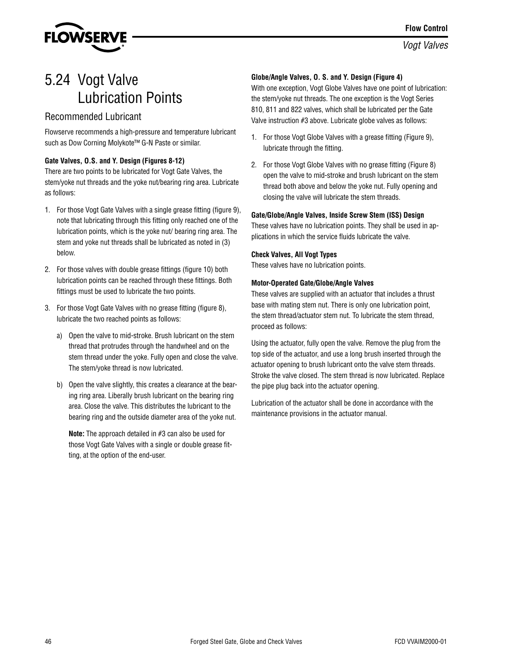

## 5.24 Vogt Valve Lubrication Points

#### Recommended Lubricant

Flowserve recommends a high-pressure and temperature lubricant such as Dow Corning Molykote™ G-N Paste or similar.

#### **Gate Valves, O.S. and Y. Design (Figures 8-12)**

There are two points to be lubricated for Vogt Gate Valves, the stem/yoke nut threads and the yoke nut/bearing ring area. Lubricate as follows:

- 1. For those Vogt Gate Valves with a single grease fitting (figure 9), note that lubricating through this fitting only reached one of the lubrication points, which is the yoke nut/ bearing ring area. The stem and yoke nut threads shall be lubricated as noted in (3) below.
- 2. For those valves with double grease fittings (figure 10) both lubrication points can be reached through these fittings. Both fittings must be used to lubricate the two points.
- 3. For those Vogt Gate Valves with no grease fitting (figure 8), lubricate the two reached points as follows:
	- a) Open the valve to mid-stroke. Brush lubricant on the stem thread that protrudes through the handwheel and on the stem thread under the yoke. Fully open and close the valve. The stem/yoke thread is now lubricated.
	- b) Open the valve slightly, this creates a clearance at the bearing ring area. Liberally brush lubricant on the bearing ring area. Close the valve. This distributes the lubricant to the bearing ring and the outside diameter area of the yoke nut.

**Note:** The approach detailed in #3 can also be used for those Vogt Gate Valves with a single or double grease fitting, at the option of the end-user.

#### **Globe/Angle Valves, O. S. and Y. Design (Figure 4)**

With one exception, Vogt Globe Valves have one point of lubrication: the stem/yoke nut threads. The one exception is the Vogt Series 810, 811 and 822 valves, which shall be lubricated per the Gate Valve instruction #3 above. Lubricate globe valves as follows:

- 1. For those Vogt Globe Valves with a grease fitting (Figure 9), lubricate through the fitting.
- 2. For those Vogt Globe Valves with no grease fitting (Figure 8) open the valve to mid-stroke and brush lubricant on the stem thread both above and below the yoke nut. Fully opening and closing the valve will lubricate the stem threads.

#### **Gate/Globe/Angle Valves, Inside Screw Stem (ISS) Design**

These valves have no lubrication points. They shall be used in applications in which the service fluids lubricate the valve.

#### **Check Valves, All Vogt Types**

These valves have no lubrication points.

#### **Motor-Operated Gate/Globe/Angle Valves**

These valves are supplied with an actuator that includes a thrust base with mating stem nut. There is only one lubrication point, the stem thread/actuator stem nut. To lubricate the stem thread, proceed as follows:

Using the actuator, fully open the valve. Remove the plug from the top side of the actuator, and use a long brush inserted through the actuator opening to brush lubricant onto the valve stem threads. Stroke the valve closed. The stem thread is now lubricated. Replace the pipe plug back into the actuator opening.

Lubrication of the actuator shall be done in accordance with the maintenance provisions in the actuator manual.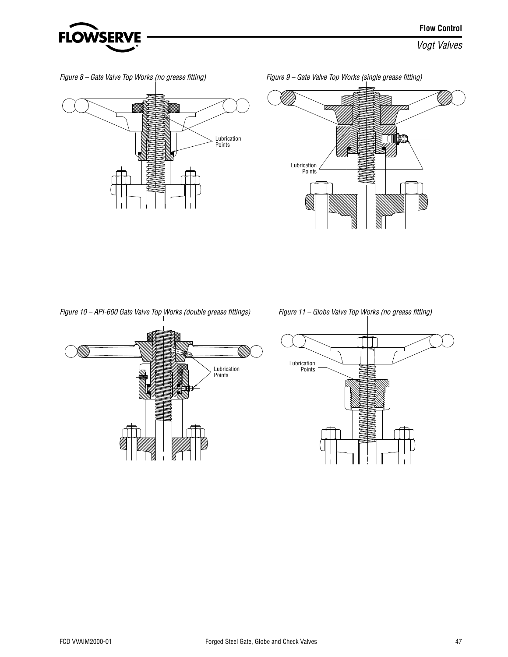

*Figure 8 – Gate Valve Top Works (no grease fitting)* Lubrication<br>Points *Figure 9 – Gate Valve Top Works (single grease fitting)*



*Figure 10 – API-600 Gate Valve Top Works (double grease fittings)*





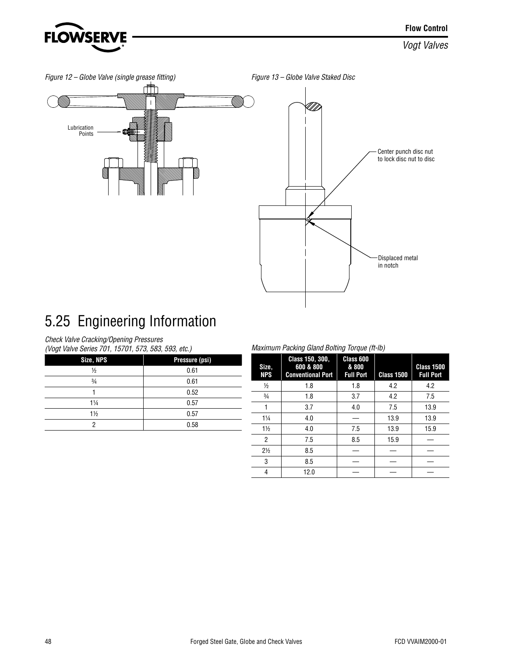



## 5.25 Engineering Information

*Check Valve Cracking/Opening Pressures (Vogt Valve Series 701, 15701, 573, 583, 593, etc.)*

| $(10, 0.00, 0.00, 0.00, 0.00, 0.00, 0.00, 0.00, 0.00, 0.00, 0.00, 0.00, 0.00, 0.00, 0.00, 0.00, 0.00, 0.00, 0.00, 0.00, 0.00, 0.00, 0.00, 0.00, 0.00, 0.00, 0.00, 0.00, 0.00, 0.00, 0.00, 0.00, 0.00, 0.00, 0.00, 0.00, 0.00,$ |                |  |  |  |  |
|--------------------------------------------------------------------------------------------------------------------------------------------------------------------------------------------------------------------------------|----------------|--|--|--|--|
| Size, NPS                                                                                                                                                                                                                      | Pressure (psi) |  |  |  |  |
| $\frac{1}{2}$                                                                                                                                                                                                                  | 0.61           |  |  |  |  |
| $\frac{3}{4}$                                                                                                                                                                                                                  | 0.61           |  |  |  |  |
|                                                                                                                                                                                                                                | 0.52           |  |  |  |  |
| $1\frac{1}{4}$                                                                                                                                                                                                                 | 0.57           |  |  |  |  |
| $1\frac{1}{2}$                                                                                                                                                                                                                 | 0.57           |  |  |  |  |
| 2                                                                                                                                                                                                                              | 0.58           |  |  |  |  |

#### *Maximum Packing Gland Bolting Torque (ft-lb)*

| Size,<br><b>NPS</b> | <b>Class 150, 300.</b><br>600 & 800<br><b>Conventional Port</b> | Class 600<br>& 800<br><b>Full Port</b> | <b>Class 1500</b> | <b>Class 1500</b><br><b>Full Port</b> |
|---------------------|-----------------------------------------------------------------|----------------------------------------|-------------------|---------------------------------------|
| ⅓                   | 1.8                                                             | 1.8                                    | 4.2               | 4.2                                   |
| $\frac{3}{4}$       | 1.8                                                             | 3.7                                    | 4.2               | 7.5                                   |
|                     | 3.7                                                             | 4.0                                    | 7.5               | 13.9                                  |
| $1\frac{1}{4}$      | 4.0                                                             |                                        | 13.9              | 13.9                                  |
| $1\frac{1}{2}$      | 4.0                                                             | 7.5                                    | 13.9              | 15.9                                  |
| 2                   | 7.5                                                             | 8.5                                    | 15.9              |                                       |
| $2\frac{1}{2}$      | 8.5                                                             |                                        |                   |                                       |
| 3                   | 8.5                                                             |                                        |                   |                                       |
| 4                   | 12.0                                                            |                                        |                   |                                       |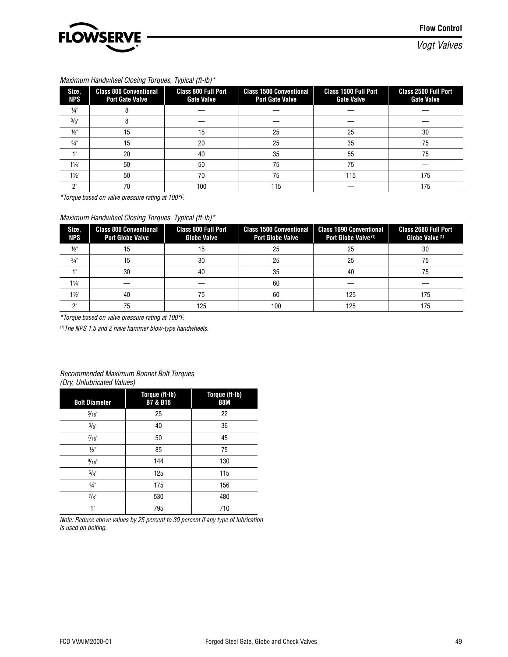

#### *Maximum Handwheel Closing Torques, Typical (ft-lb)\**

| Size,<br><b>NPS</b> | <b>Class 800 Conventional</b><br><b>Port Gate Valve</b> | <b>Class 800 Full Port</b><br><b>Gate Valve</b> | <b>Class 1500 Conventional</b><br><b>Port Gate Valve</b> | <b>Class 1500 Full Port</b><br><b>Gate Valve</b> | <b>Class 2500 Full Port</b><br><b>Gate Valve</b> |
|---------------------|---------------------------------------------------------|-------------------------------------------------|----------------------------------------------------------|--------------------------------------------------|--------------------------------------------------|
| $\frac{1}{4}$       |                                                         |                                                 |                                                          |                                                  |                                                  |
| $\frac{3}{8}$ "     | ົ                                                       |                                                 |                                                          |                                                  |                                                  |
| $\frac{1}{2}$       | 15                                                      | 15                                              | 25                                                       | 25                                               | 30                                               |
| $\frac{3}{4}$ "     | 15                                                      | 20                                              | 25                                                       | 35                                               | 75                                               |
|                     | 20                                                      | 40                                              | 35                                                       | 55                                               | 75                                               |
| $1\frac{1}{4}$      | 50                                                      | 50                                              | 75                                                       | 75                                               |                                                  |
| $1\frac{1}{2}$      | 50                                                      | 70                                              | 75                                                       | 115                                              | 175                                              |
| η                   | 70                                                      | 100                                             | 115                                                      |                                                  | 175                                              |

*\*Torque based on valve pressure rating at 100°F.*

#### *Maximum Handwheel Closing Torques, Typical (ft-lb)\**

| Size,<br><b>NPS</b> | <b>Class 800 Conventional</b><br><b>Port Globe Valve</b> | <b>Class 800 Full Port</b><br><b>Globe Valve</b> | <b>Class 1500 Conventional</b><br><b>Port Globe Valve</b> | <b>Class 1690 Conventional</b><br>Port Globe Valve (1) | <b>Class 2680 Full Port</b><br>Globe Valve (1) |
|---------------------|----------------------------------------------------------|--------------------------------------------------|-----------------------------------------------------------|--------------------------------------------------------|------------------------------------------------|
| $\frac{1}{2}$       | 15                                                       | 15                                               | 25                                                        | 25                                                     | 30                                             |
| $\frac{3}{4}$       | 15                                                       | 30                                               | 25                                                        | 25                                                     | 75                                             |
|                     | 30                                                       | 40                                               | 35                                                        | 40                                                     | 75                                             |
| $1\frac{1}{4}$      |                                                          |                                                  | 60                                                        |                                                        |                                                |
| $1\frac{1}{2}$      | 40                                                       | 75                                               | 60                                                        | 125                                                    | 175                                            |
| η                   | 75                                                       | 125                                              | 100                                                       | 125                                                    | 175                                            |

*\*Torque based on valve pressure rating at 100°F.*

*(1)The NPS 1.5 and 2 have hammer blow-type handwheels.*

| <b>Bolt Diameter</b> | Torque (ft-Ib)<br><b>B7 &amp; B16</b> | Torque (ft-Ib)<br><b>B8M</b> |  |  |  |  |
|----------------------|---------------------------------------|------------------------------|--|--|--|--|
| 5/16"                | 25                                    | 22                           |  |  |  |  |
| $^{3}/_{8}$ "        | 40                                    | 36                           |  |  |  |  |
| $^{7/16}$            | 50                                    | 45                           |  |  |  |  |
| $\frac{1}{2}$ "      | 85                                    | 75                           |  |  |  |  |
| 9/16"                | 144                                   | 130                          |  |  |  |  |
| 5/8"                 | 125                                   | 115                          |  |  |  |  |
| $\frac{3}{4}$ "      | 175                                   | 156                          |  |  |  |  |
| $^{7}/8"$            | 530                                   | 480                          |  |  |  |  |
| 1"                   | 795                                   | 710                          |  |  |  |  |

#### *Recommended Maximum Bonnet Bolt Torques (Dry, Unlubricated Values)*

*Note: Reduce above values by 25 percent to 30 percent if any type of lubrication is used on bolting.*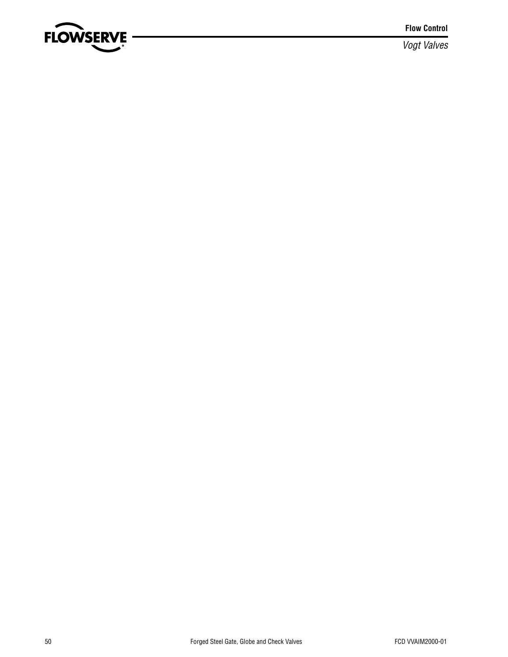

**Flow Control**

*Vogt Valves*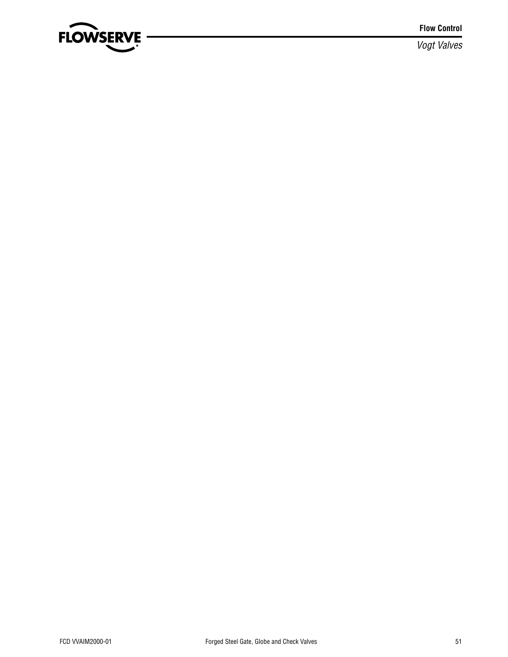

**Flow Control**

*Vogt Valves*